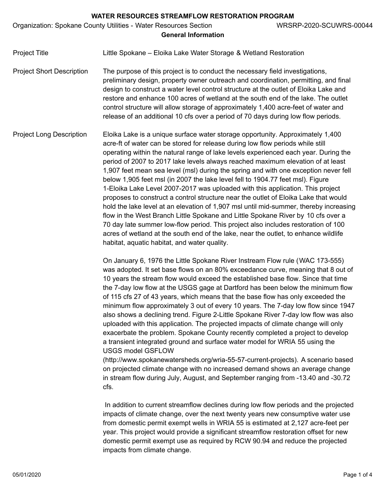Organization: Spokane County Utilities - Water Resources Section WRSRP-2020-SCUWRS-00044

# **General Information**

Project Title **Little Spokane – Eloika Lake Water Storage & Wetland Restoration** 

Project Short Description The purpose of this project is to conduct the necessary field investigations, preliminary design, property owner outreach and coordination, permitting, and final design to construct a water level control structure at the outlet of Eloika Lake and restore and enhance 100 acres of wetland at the south end of the lake. The outlet control structure will allow storage of approximately 1,400 acre-feet of water and release of an additional 10 cfs over a period of 70 days during low flow periods.

Project Long Description Eloika Lake is a unique surface water storage opportunity. Approximately 1,400 acre-ft of water can be stored for release during low flow periods while still operating within the natural range of lake levels experienced each year. During the period of 2007 to 2017 lake levels always reached maximum elevation of at least 1,907 feet mean sea level (msl) during the spring and with one exception never fell below 1,905 feet msl (in 2007 the lake level fell to 1904.77 feet msl). Figure 1-Eloika Lake Level 2007-2017 was uploaded with this application. This project proposes to construct a control structure near the outlet of Eloika Lake that would hold the lake level at an elevation of 1,907 msl until mid-summer, thereby increasing flow in the West Branch Little Spokane and Little Spokane River by 10 cfs over a 70 day late summer low-flow period. This project also includes restoration of 100 acres of wetland at the south end of the lake, near the outlet, to enhance wildlife habitat, aquatic habitat, and water quality.

> On January 6, 1976 the Little Spokane River Instream Flow rule (WAC 173-555) was adopted. It set base flows on an 80% exceedance curve, meaning that 8 out of 10 years the stream flow would exceed the established base flow. Since that time the 7-day low flow at the USGS gage at Dartford has been below the minimum flow of 115 cfs 27 of 43 years, which means that the base flow has only exceeded the minimum flow approximately 3 out of every 10 years. The 7-day low flow since 1947 also shows a declining trend. Figure 2-Little Spokane River 7-day low flow was also uploaded with this application. The projected impacts of climate change will only exacerbate the problem. Spokane County recently completed a project to develop a transient integrated ground and surface water model for WRIA 55 using the USGS model GSFLOW

> (http://www.spokanewatersheds.org/wria-55-57-current-projects). A scenario based on projected climate change with no increased demand shows an average change in stream flow during July, August, and September ranging from -13.40 and -30.72 cfs.

> In addition to current streamflow declines during low flow periods and the projected impacts of climate change, over the next twenty years new consumptive water use from domestic permit exempt wells in WRIA 55 is estimated at 2,127 acre-feet per year. This project would provide a significant streamflow restoration offset for new domestic permit exempt use as required by RCW 90.94 and reduce the projected impacts from climate change.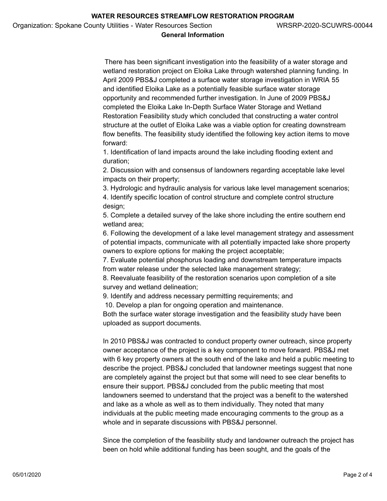# **General Information**

 There has been significant investigation into the feasibility of a water storage and wetland restoration project on Eloika Lake through watershed planning funding. In April 2009 PBS&J completed a surface water storage investigation in WRIA 55 and identified Eloika Lake as a potentially feasible surface water storage opportunity and recommended further investigation. In June of 2009 PBS&J completed the Eloika Lake In-Depth Surface Water Storage and Wetland Restoration Feasibility study which concluded that constructing a water control structure at the outlet of Eloika Lake was a viable option for creating downstream flow benefits. The feasibility study identified the following key action items to move forward:

1. Identification of land impacts around the lake including flooding extent and duration;

2. Discussion with and consensus of landowners regarding acceptable lake level impacts on their property;

3. Hydrologic and hydraulic analysis for various lake level management scenarios; 4. Identify specific location of control structure and complete control structure design;

5. Complete a detailed survey of the lake shore including the entire southern end wetland area;

6. Following the development of a lake level management strategy and assessment of potential impacts, communicate with all potentially impacted lake shore property owners to explore options for making the project acceptable;

7. Evaluate potential phosphorus loading and downstream temperature impacts from water release under the selected lake management strategy;

8. Reevaluate feasibility of the restoration scenarios upon completion of a site survey and wetland delineation;

9. Identify and address necessary permitting requirements; and

10. Develop a plan for ongoing operation and maintenance.

Both the surface water storage investigation and the feasibility study have been uploaded as support documents.

In 2010 PBS&J was contracted to conduct property owner outreach, since property owner acceptance of the project is a key component to move forward. PBS&J met with 6 key property owners at the south end of the lake and held a public meeting to describe the project. PBS&J concluded that landowner meetings suggest that none are completely against the project but that some will need to see clear benefits to ensure their support. PBS&J concluded from the public meeting that most landowners seemed to understand that the project was a benefit to the watershed and lake as a whole as well as to them individually. They noted that many individuals at the public meeting made encouraging comments to the group as a whole and in separate discussions with PBS&J personnel.

Since the completion of the feasibility study and landowner outreach the project has been on hold while additional funding has been sought, and the goals of the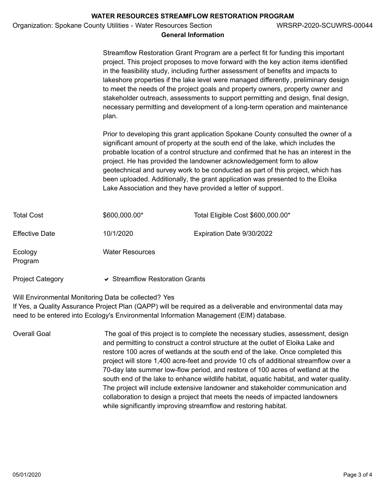|                         |                                                                  | WATER RESOURCES STREAMFLOW RESTORATION PROGRAM                                                                                       |                                                                                                                                                                                                                                                                                                                                                                                                                                                                                                                                                                                                              |
|-------------------------|------------------------------------------------------------------|--------------------------------------------------------------------------------------------------------------------------------------|--------------------------------------------------------------------------------------------------------------------------------------------------------------------------------------------------------------------------------------------------------------------------------------------------------------------------------------------------------------------------------------------------------------------------------------------------------------------------------------------------------------------------------------------------------------------------------------------------------------|
|                         | Organization: Spokane County Utilities - Water Resources Section | <b>General Information</b>                                                                                                           | WRSRP-2020-SCUWRS-00044                                                                                                                                                                                                                                                                                                                                                                                                                                                                                                                                                                                      |
|                         | plan.                                                            |                                                                                                                                      | Streamflow Restoration Grant Program are a perfect fit for funding this important<br>project. This project proposes to move forward with the key action items identified<br>in the feasibility study, including further assessment of benefits and impacts to<br>lakeshore properties if the lake level were managed differently, preliminary design<br>to meet the needs of the project goals and property owners, property owner and<br>stakeholder outreach, assessments to support permitting and design, final design,<br>necessary permitting and development of a long-term operation and maintenance |
|                         |                                                                  | project. He has provided the landowner acknowledgement form to allow<br>Lake Association and they have provided a letter of support. | Prior to developing this grant application Spokane County consulted the owner of a<br>significant amount of property at the south end of the lake, which includes the<br>probable location of a control structure and confirmed that he has an interest in the<br>geotechnical and survey work to be conducted as part of this project, which has<br>been uploaded. Additionally, the grant application was presented to the Eloika                                                                                                                                                                          |
| <b>Total Cost</b>       | \$600,000.00*                                                    | Total Eligible Cost \$600,000.00*                                                                                                    |                                                                                                                                                                                                                                                                                                                                                                                                                                                                                                                                                                                                              |
| <b>Effective Date</b>   | 10/1/2020                                                        | Expiration Date 9/30/2022                                                                                                            |                                                                                                                                                                                                                                                                                                                                                                                                                                                                                                                                                                                                              |
| Ecology<br>Program      | <b>Water Resources</b>                                           |                                                                                                                                      |                                                                                                                                                                                                                                                                                                                                                                                                                                                                                                                                                                                                              |
| <b>Project Category</b> | ↓ Streamflow Restoration Grants                                  |                                                                                                                                      |                                                                                                                                                                                                                                                                                                                                                                                                                                                                                                                                                                                                              |

Will Environmental Monitoring Data be collected? Yes

If Yes, a Quality Assurance Project Plan (QAPP) will be required as a deliverable and environmental data may need to be entered into Ecology's Environmental Information Management (EIM) database.

Overall Goal The goal of this project is to complete the necessary studies, assessment, design and permitting to construct a control structure at the outlet of Eloika Lake and restore 100 acres of wetlands at the south end of the lake. Once completed this project will store 1,400 acre-feet and provide 10 cfs of additional streamflow over a 70-day late summer low-flow period, and restore of 100 acres of wetland at the south end of the lake to enhance wildlife habitat, aquatic habitat, and water quality. The project will include extensive landowner and stakeholder communication and collaboration to design a project that meets the needs of impacted landowners while significantly improving streamflow and restoring habitat.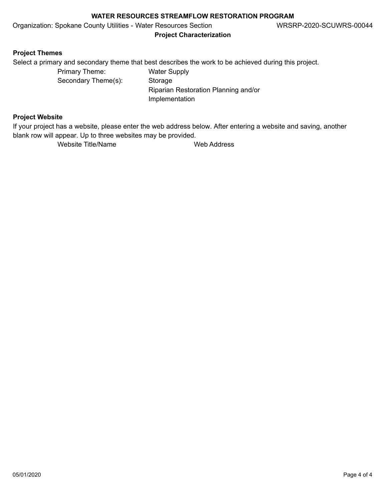Organization: Spokane County Utilities - Water Resources Section WRSRP-2020-SCUWRS-00044

**Project Characterization**

# **Project Themes**

Select a primary and secondary theme that best describes the work to be achieved during this project.

Primary Theme: Water Supply Secondary Theme(s): Storage

Riparian Restoration Planning and/or Implementation

# **Project Website**

If your project has a website, please enter the web address below. After entering a website and saving, another blank row will appear. Up to three websites may be provided.

Website Title/Name Web Address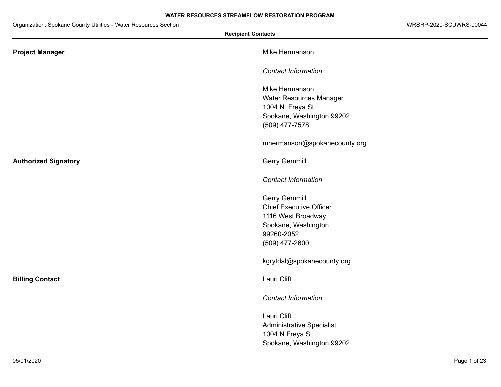Organization: Spokane County Utilities - Water Resources Section WRSRP-2020-SCUWRS-00044

÷

| <b>Recipient Contacts</b>   |                                             |
|-----------------------------|---------------------------------------------|
| <b>Project Manager</b>      | Mike Hermanson                              |
|                             | <b>Contact Information</b>                  |
|                             | Mike Hermanson                              |
|                             | Water Resources Manager                     |
|                             | 1004 N. Freya St.                           |
|                             | Spokane, Washington 99202<br>(509) 477-7578 |
|                             | mhermanson@spokanecounty.org                |
| <b>Authorized Signatory</b> | <b>Gerry Gemmill</b>                        |
|                             | <b>Contact Information</b>                  |
|                             | <b>Gerry Gemmill</b>                        |
|                             | <b>Chief Executive Officer</b>              |
|                             | 1116 West Broadway                          |
|                             | Spokane, Washington                         |
|                             | 99260-2052                                  |
|                             | (509) 477-2600                              |
|                             | kgrytdal@spokanecounty.org                  |
| <b>Billing Contact</b>      | Lauri Clift                                 |
|                             | <b>Contact Information</b>                  |
|                             | Lauri Clift                                 |
|                             | <b>Administrative Specialist</b>            |
|                             | 1004 N Freya St                             |
|                             | Spokane, Washington 99202                   |

 $\sim$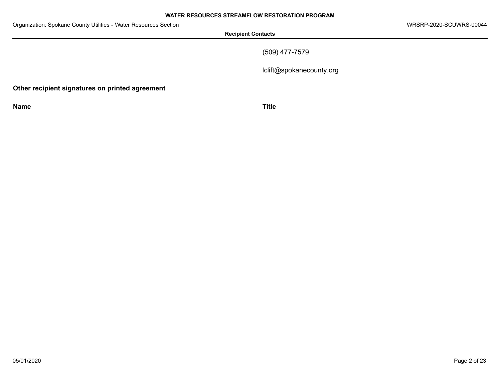**Recipient Contacts**

(509) 477-7579

lclift@spokanecounty.org

**Other recipient signatures on printed agreement**

**Name Title**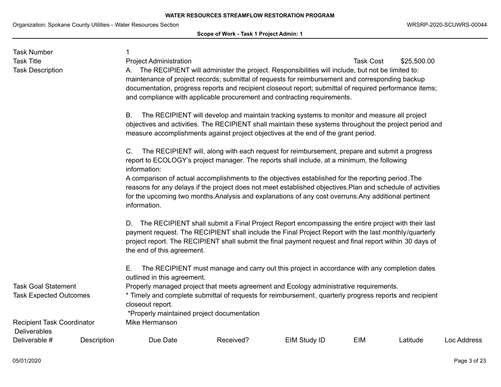**Scope of Work - Task 1 Project Admin: 1**

| <b>Task Number</b>                                                                                                                                                                                                                                                                                                                 |             |                                                                                                                                                                                                                                                                                                                                                                                                |           |                                                                                              |                  |             |             |  |  |
|------------------------------------------------------------------------------------------------------------------------------------------------------------------------------------------------------------------------------------------------------------------------------------------------------------------------------------|-------------|------------------------------------------------------------------------------------------------------------------------------------------------------------------------------------------------------------------------------------------------------------------------------------------------------------------------------------------------------------------------------------------------|-----------|----------------------------------------------------------------------------------------------|------------------|-------------|-------------|--|--|
| <b>Task Title</b>                                                                                                                                                                                                                                                                                                                  |             | <b>Project Administration</b>                                                                                                                                                                                                                                                                                                                                                                  |           |                                                                                              | <b>Task Cost</b> | \$25,500.00 |             |  |  |
| <b>Task Description</b>                                                                                                                                                                                                                                                                                                            |             | A. The RECIPIENT will administer the project. Responsibilities will include, but not be limited to:<br>maintenance of project records; submittal of requests for reimbursement and corresponding backup<br>documentation, progress reports and recipient closeout report; submittal of required performance items;<br>and compliance with applicable procurement and contracting requirements. |           |                                                                                              |                  |             |             |  |  |
|                                                                                                                                                                                                                                                                                                                                    |             | The RECIPIENT will develop and maintain tracking systems to monitor and measure all project<br><b>B.</b><br>objectives and activities. The RECIPIENT shall maintain these systems throughout the project period and<br>measure accomplishments against project objectives at the end of the grant period.                                                                                      |           |                                                                                              |                  |             |             |  |  |
|                                                                                                                                                                                                                                                                                                                                    |             | The RECIPIENT will, along with each request for reimbursement, prepare and submit a progress<br>C.<br>report to ECOLOGY's project manager. The reports shall include, at a minimum, the following<br>information:                                                                                                                                                                              |           |                                                                                              |                  |             |             |  |  |
|                                                                                                                                                                                                                                                                                                                                    |             | A comparison of actual accomplishments to the objectives established for the reporting period. The                                                                                                                                                                                                                                                                                             |           |                                                                                              |                  |             |             |  |  |
|                                                                                                                                                                                                                                                                                                                                    |             | reasons for any delays if the project does not meet established objectives. Plan and schedule of activities<br>for the upcoming two months. Analysis and explanations of any cost overruns. Any additional pertinent<br>information.                                                                                                                                                           |           |                                                                                              |                  |             |             |  |  |
|                                                                                                                                                                                                                                                                                                                                    |             | The RECIPIENT shall submit a Final Project Report encompassing the entire project with their last<br>D.<br>payment request. The RECIPIENT shall include the Final Project Report with the last monthly/quarterly<br>project report. The RECIPIENT shall submit the final payment request and final report within 30 days of<br>the end of this agreement.                                      |           |                                                                                              |                  |             |             |  |  |
|                                                                                                                                                                                                                                                                                                                                    |             | Е.<br>outlined in this agreement.                                                                                                                                                                                                                                                                                                                                                              |           | The RECIPIENT must manage and carry out this project in accordance with any completion dates |                  |             |             |  |  |
| <b>Task Goal Statement</b><br>Properly managed project that meets agreement and Ecology administrative requirements.<br>* Timely and complete submittal of requests for reimbursement, quarterly progress reports and recipient<br><b>Task Expected Outcomes</b><br>closeout report.<br>*Properly maintained project documentation |             |                                                                                                                                                                                                                                                                                                                                                                                                |           |                                                                                              |                  |             |             |  |  |
| <b>Recipient Task Coordinator</b><br><b>Deliverables</b>                                                                                                                                                                                                                                                                           |             | Mike Hermanson                                                                                                                                                                                                                                                                                                                                                                                 |           |                                                                                              |                  |             |             |  |  |
| Deliverable #                                                                                                                                                                                                                                                                                                                      | Description | Due Date                                                                                                                                                                                                                                                                                                                                                                                       | Received? | EIM Study ID                                                                                 | <b>EIM</b>       | Latitude    | Loc Address |  |  |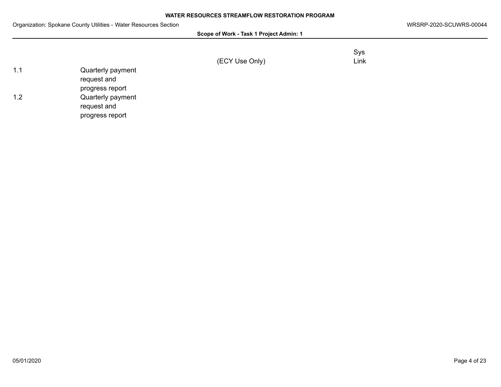| Scope of Work - Task 1 Project Admin: 1 |  |  |
|-----------------------------------------|--|--|
|-----------------------------------------|--|--|

|                | Sys  |
|----------------|------|
| (ECY Use Only) | Link |

| 11 | Quarterly payment |
|----|-------------------|
|    | request and       |
|    | progress report   |
| 12 | Quarterly payment |
|    | request and       |
|    | progress report   |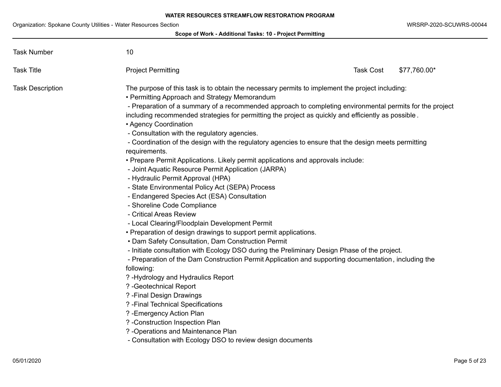## **Scope of Work - Additional Tasks: 10 - Project Permitting**

| <b>Task Number</b>      | 10                                                                                                                                                                                                                                                                                                                                                                                                                                                                                                                                                                                                                                                                                                                                                                                                                                                                                                                                                                                                                                                                                                                                                                                                                                                                                                                                                                                                                                                                                                                                                                                                                             |                  |              |
|-------------------------|--------------------------------------------------------------------------------------------------------------------------------------------------------------------------------------------------------------------------------------------------------------------------------------------------------------------------------------------------------------------------------------------------------------------------------------------------------------------------------------------------------------------------------------------------------------------------------------------------------------------------------------------------------------------------------------------------------------------------------------------------------------------------------------------------------------------------------------------------------------------------------------------------------------------------------------------------------------------------------------------------------------------------------------------------------------------------------------------------------------------------------------------------------------------------------------------------------------------------------------------------------------------------------------------------------------------------------------------------------------------------------------------------------------------------------------------------------------------------------------------------------------------------------------------------------------------------------------------------------------------------------|------------------|--------------|
| <b>Task Title</b>       | <b>Project Permitting</b>                                                                                                                                                                                                                                                                                                                                                                                                                                                                                                                                                                                                                                                                                                                                                                                                                                                                                                                                                                                                                                                                                                                                                                                                                                                                                                                                                                                                                                                                                                                                                                                                      | <b>Task Cost</b> | \$77,760.00* |
| <b>Task Description</b> | The purpose of this task is to obtain the necessary permits to implement the project including:<br>• Permitting Approach and Strategy Memorandum<br>- Preparation of a summary of a recommended approach to completing environmental permits for the project<br>including recommended strategies for permitting the project as quickly and efficiently as possible.<br>• Agency Coordination<br>- Consultation with the regulatory agencies.<br>- Coordination of the design with the regulatory agencies to ensure that the design meets permitting<br>requirements.<br>• Prepare Permit Applications. Likely permit applications and approvals include:<br>- Joint Aquatic Resource Permit Application (JARPA)<br>- Hydraulic Permit Approval (HPA)<br>- State Environmental Policy Act (SEPA) Process<br>- Endangered Species Act (ESA) Consultation<br>- Shoreline Code Compliance<br>- Critical Areas Review<br>- Local Clearing/Floodplain Development Permit<br>• Preparation of design drawings to support permit applications.<br>• Dam Safety Consultation, Dam Construction Permit<br>- Initiate consultation with Ecology DSO during the Preliminary Design Phase of the project.<br>- Preparation of the Dam Construction Permit Application and supporting documentation, including the<br>following:<br>? - Hydrology and Hydraulics Report<br>? - Geotechnical Report<br>? - Final Design Drawings<br>? - Final Technical Specifications<br>? - Emergency Action Plan<br>? - Construction Inspection Plan<br>? - Operations and Maintenance Plan<br>- Consultation with Ecology DSO to review design documents |                  |              |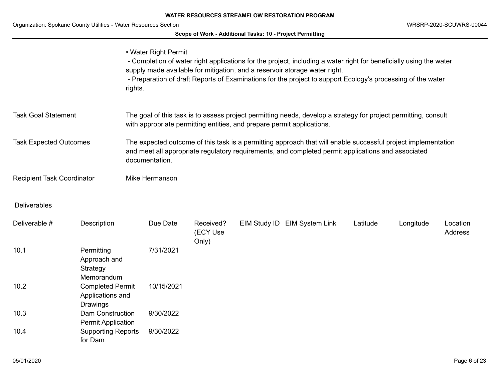# **Scope of Work - Additional Tasks: 10 - Project Permitting**

|                                                                                                                                                                                                                                                                        |                                                         | • Water Right Permit<br>rights.                                                                                                                                                           |                                |  | - Completion of water right applications for the project, including a water right for beneficially using the water<br>supply made available for mitigation, and a reservoir storage water right.<br>- Preparation of draft Reports of Examinations for the project to support Ecology's processing of the water |          |           |                     |
|------------------------------------------------------------------------------------------------------------------------------------------------------------------------------------------------------------------------------------------------------------------------|---------------------------------------------------------|-------------------------------------------------------------------------------------------------------------------------------------------------------------------------------------------|--------------------------------|--|-----------------------------------------------------------------------------------------------------------------------------------------------------------------------------------------------------------------------------------------------------------------------------------------------------------------|----------|-----------|---------------------|
| <b>Task Goal Statement</b>                                                                                                                                                                                                                                             |                                                         | The goal of this task is to assess project permitting needs, develop a strategy for project permitting, consult<br>with appropriate permitting entities, and prepare permit applications. |                                |  |                                                                                                                                                                                                                                                                                                                 |          |           |                     |
| <b>Task Expected Outcomes</b><br>The expected outcome of this task is a permitting approach that will enable successful project implementation<br>and meet all appropriate regulatory requirements, and completed permit applications and associated<br>documentation. |                                                         |                                                                                                                                                                                           |                                |  |                                                                                                                                                                                                                                                                                                                 |          |           |                     |
| <b>Recipient Task Coordinator</b>                                                                                                                                                                                                                                      |                                                         | Mike Hermanson                                                                                                                                                                            |                                |  |                                                                                                                                                                                                                                                                                                                 |          |           |                     |
| <b>Deliverables</b>                                                                                                                                                                                                                                                    |                                                         |                                                                                                                                                                                           |                                |  |                                                                                                                                                                                                                                                                                                                 |          |           |                     |
| Deliverable #                                                                                                                                                                                                                                                          | Description                                             | Due Date                                                                                                                                                                                  | Received?<br>(ECY Use<br>Only) |  | EIM Study ID EIM System Link                                                                                                                                                                                                                                                                                    | Latitude | Longitude | Location<br>Address |
| 10.1                                                                                                                                                                                                                                                                   | Permitting<br>Approach and<br>Strategy<br>Memorandum    | 7/31/2021                                                                                                                                                                                 |                                |  |                                                                                                                                                                                                                                                                                                                 |          |           |                     |
| 10.2                                                                                                                                                                                                                                                                   | <b>Completed Permit</b><br>Applications and<br>Drawings | 10/15/2021                                                                                                                                                                                |                                |  |                                                                                                                                                                                                                                                                                                                 |          |           |                     |
| 10.3                                                                                                                                                                                                                                                                   | <b>Dam Construction</b><br><b>Permit Application</b>    | 9/30/2022                                                                                                                                                                                 |                                |  |                                                                                                                                                                                                                                                                                                                 |          |           |                     |
| 10.4                                                                                                                                                                                                                                                                   | <b>Supporting Reports</b><br>for Dam                    | 9/30/2022                                                                                                                                                                                 |                                |  |                                                                                                                                                                                                                                                                                                                 |          |           |                     |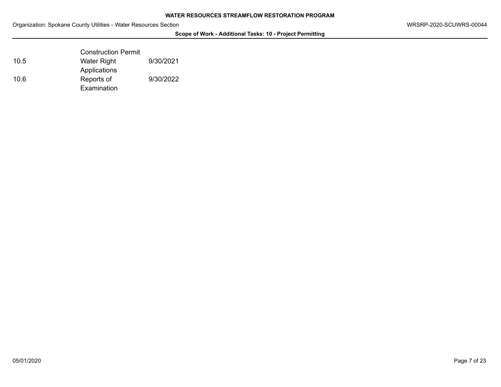## **Scope of Work - Additional Tasks: 10 - Project Permitting**

|      | <b>Construction Permit</b> |           |
|------|----------------------------|-----------|
| 10.5 | Water Right                | 9/30/2021 |
|      | Applications               |           |
| 10.6 | Reports of                 | 9/30/2022 |
|      | Examination                |           |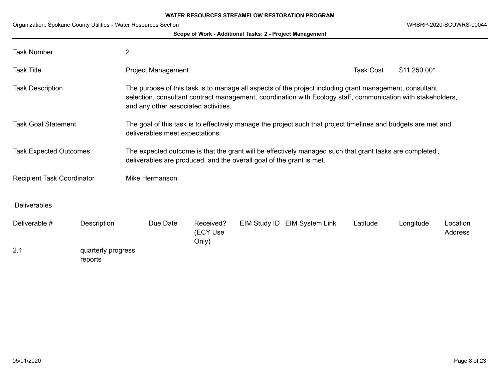|                                                     |                               |                                                                                                                                                                                                                                                                 |                                | Scope of Work - Additional Tasks: 2 - Project Management |                              |                  |               |                            |
|-----------------------------------------------------|-------------------------------|-----------------------------------------------------------------------------------------------------------------------------------------------------------------------------------------------------------------------------------------------------------------|--------------------------------|----------------------------------------------------------|------------------------------|------------------|---------------|----------------------------|
| <b>Task Number</b>                                  |                               | $\overline{2}$                                                                                                                                                                                                                                                  |                                |                                                          |                              |                  |               |                            |
| <b>Task Title</b>                                   |                               | Project Management                                                                                                                                                                                                                                              |                                |                                                          |                              | <b>Task Cost</b> | $$11,250.00*$ |                            |
| <b>Task Description</b>                             |                               | The purpose of this task is to manage all aspects of the project including grant management, consultant<br>selection, consultant contract management, coordination with Ecology staff, communication with stakeholders,<br>and any other associated activities. |                                |                                                          |                              |                  |               |                            |
| <b>Task Goal Statement</b>                          |                               | The goal of this task is to effectively manage the project such that project timelines and budgets are met and<br>deliverables meet expectations.                                                                                                               |                                |                                                          |                              |                  |               |                            |
| <b>Task Expected Outcomes</b>                       |                               | The expected outcome is that the grant will be effectively managed such that grant tasks are completed,<br>deliverables are produced, and the overall goal of the grant is met.                                                                                 |                                |                                                          |                              |                  |               |                            |
| Mike Hermanson<br><b>Recipient Task Coordinator</b> |                               |                                                                                                                                                                                                                                                                 |                                |                                                          |                              |                  |               |                            |
| <b>Deliverables</b>                                 |                               |                                                                                                                                                                                                                                                                 |                                |                                                          |                              |                  |               |                            |
| Deliverable #                                       | Description                   | Due Date                                                                                                                                                                                                                                                        | Received?<br>(ECY Use<br>Only) |                                                          | EIM Study ID EIM System Link | Latitude         | Longitude     | Location<br><b>Address</b> |
| 2.1                                                 | quarterly progress<br>reports |                                                                                                                                                                                                                                                                 |                                |                                                          |                              |                  |               |                            |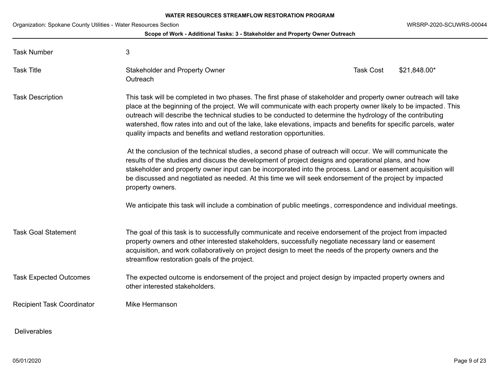## **Scope of Work - Additional Tasks: 3 - Stakeholder and Property Owner Outreach**

| <b>Task Number</b>                | 3                                                                                                                                                                                                                                                                                                                                                                                                                                                                                                                                             |                  |              |
|-----------------------------------|-----------------------------------------------------------------------------------------------------------------------------------------------------------------------------------------------------------------------------------------------------------------------------------------------------------------------------------------------------------------------------------------------------------------------------------------------------------------------------------------------------------------------------------------------|------------------|--------------|
| <b>Task Title</b>                 | <b>Stakeholder and Property Owner</b><br>Outreach                                                                                                                                                                                                                                                                                                                                                                                                                                                                                             | <b>Task Cost</b> | \$21,848.00* |
| <b>Task Description</b>           | This task will be completed in two phases. The first phase of stakeholder and property owner outreach will take<br>place at the beginning of the project. We will communicate with each property owner likely to be impacted. This<br>outreach will describe the technical studies to be conducted to determine the hydrology of the contributing<br>watershed, flow rates into and out of the lake, lake elevations, impacts and benefits for specific parcels, water<br>quality impacts and benefits and wetland restoration opportunities. |                  |              |
|                                   | At the conclusion of the technical studies, a second phase of outreach will occur. We will communicate the<br>results of the studies and discuss the development of project designs and operational plans, and how<br>stakeholder and property owner input can be incorporated into the process. Land or easement acquisition will<br>be discussed and negotiated as needed. At this time we will seek endorsement of the project by impacted<br>property owners.                                                                             |                  |              |
|                                   | We anticipate this task will include a combination of public meetings, correspondence and individual meetings.                                                                                                                                                                                                                                                                                                                                                                                                                                |                  |              |
| <b>Task Goal Statement</b>        | The goal of this task is to successfully communicate and receive endorsement of the project from impacted<br>property owners and other interested stakeholders, successfully negotiate necessary land or easement<br>acquisition, and work collaboratively on project design to meet the needs of the property owners and the<br>streamflow restoration goals of the project.                                                                                                                                                                 |                  |              |
| <b>Task Expected Outcomes</b>     | The expected outcome is endorsement of the project and project design by impacted property owners and<br>other interested stakeholders.                                                                                                                                                                                                                                                                                                                                                                                                       |                  |              |
| <b>Recipient Task Coordinator</b> | Mike Hermanson                                                                                                                                                                                                                                                                                                                                                                                                                                                                                                                                |                  |              |
| <b>Deliverables</b>               |                                                                                                                                                                                                                                                                                                                                                                                                                                                                                                                                               |                  |              |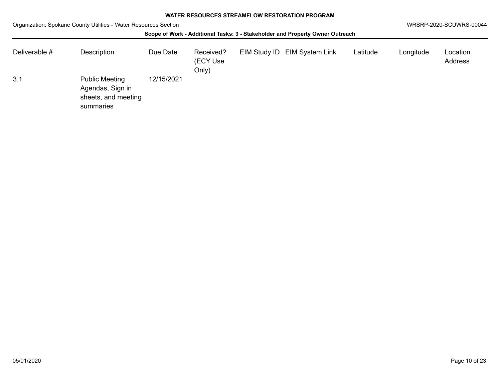| Deliverable # | Description                                                                   | Due Date   | Received?<br>(ECY Use<br>Only) | EIM Study ID EIM System Link | Latitude | Longitude | Location<br><b>Address</b> |
|---------------|-------------------------------------------------------------------------------|------------|--------------------------------|------------------------------|----------|-----------|----------------------------|
| 3.1           | <b>Public Meeting</b><br>Agendas, Sign in<br>sheets, and meeting<br>summaries | 12/15/2021 |                                |                              |          |           |                            |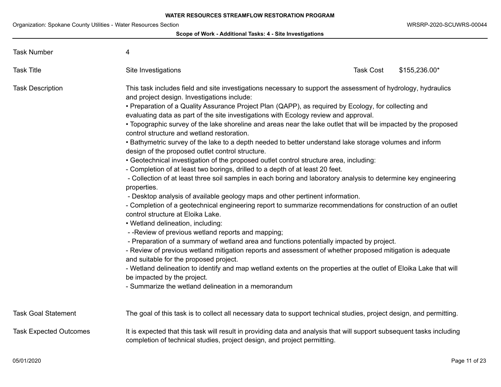| Organization. Opokano Obanty Otintics - Water Resources Occi | Scope of Work - Additional Tasks: 4 - Site Investigations                                                                                                                                                                                                                                                                                                                                                                                                                                                                                                                                                                                                                                                                                                                                                                                                                                                                                                                                                                                                                                                                                                                                                                                                                                                                                                                                                                                                                                                                                                                                                                                                                                                                                                                                                   |                  |               |
|--------------------------------------------------------------|-------------------------------------------------------------------------------------------------------------------------------------------------------------------------------------------------------------------------------------------------------------------------------------------------------------------------------------------------------------------------------------------------------------------------------------------------------------------------------------------------------------------------------------------------------------------------------------------------------------------------------------------------------------------------------------------------------------------------------------------------------------------------------------------------------------------------------------------------------------------------------------------------------------------------------------------------------------------------------------------------------------------------------------------------------------------------------------------------------------------------------------------------------------------------------------------------------------------------------------------------------------------------------------------------------------------------------------------------------------------------------------------------------------------------------------------------------------------------------------------------------------------------------------------------------------------------------------------------------------------------------------------------------------------------------------------------------------------------------------------------------------------------------------------------------------|------------------|---------------|
| <b>Task Number</b>                                           | 4                                                                                                                                                                                                                                                                                                                                                                                                                                                                                                                                                                                                                                                                                                                                                                                                                                                                                                                                                                                                                                                                                                                                                                                                                                                                                                                                                                                                                                                                                                                                                                                                                                                                                                                                                                                                           |                  |               |
| <b>Task Title</b>                                            | Site Investigations                                                                                                                                                                                                                                                                                                                                                                                                                                                                                                                                                                                                                                                                                                                                                                                                                                                                                                                                                                                                                                                                                                                                                                                                                                                                                                                                                                                                                                                                                                                                                                                                                                                                                                                                                                                         | <b>Task Cost</b> | \$155,236.00* |
| <b>Task Description</b>                                      | This task includes field and site investigations necessary to support the assessment of hydrology, hydraulics<br>and project design. Investigations include:<br>• Preparation of a Quality Assurance Project Plan (QAPP), as required by Ecology, for collecting and<br>evaluating data as part of the site investigations with Ecology review and approval.<br>• Topographic survey of the lake shoreline and areas near the lake outlet that will be impacted by the proposed<br>control structure and wetland restoration.<br>. Bathymetric survey of the lake to a depth needed to better understand lake storage volumes and inform<br>design of the proposed outlet control structure.<br>• Geotechnical investigation of the proposed outlet control structure area, including:<br>- Completion of at least two borings, drilled to a depth of at least 20 feet.<br>- Collection of at least three soil samples in each boring and laboratory analysis to determine key engineering<br>properties.<br>- Desktop analysis of available geology maps and other pertinent information.<br>- Completion of a geotechnical engineering report to summarize recommendations for construction of an outlet<br>control structure at Eloika Lake.<br>• Wetland delineation, including:<br>- - Review of previous wetland reports and mapping;<br>- Preparation of a summary of wetland area and functions potentially impacted by project.<br>- Review of previous wetland mitigation reports and assessment of whether proposed mitigation is adequate<br>and suitable for the proposed project.<br>- Wetland delineation to identify and map wetland extents on the properties at the outlet of Eloika Lake that will<br>be impacted by the project.<br>- Summarize the wetland delineation in a memorandum |                  |               |
| <b>Task Goal Statement</b>                                   | The goal of this task is to collect all necessary data to support technical studies, project design, and permitting.                                                                                                                                                                                                                                                                                                                                                                                                                                                                                                                                                                                                                                                                                                                                                                                                                                                                                                                                                                                                                                                                                                                                                                                                                                                                                                                                                                                                                                                                                                                                                                                                                                                                                        |                  |               |
| <b>Task Expected Outcomes</b>                                | It is expected that this task will result in providing data and analysis that will support subsequent tasks including<br>completion of technical studies, project design, and project permitting.                                                                                                                                                                                                                                                                                                                                                                                                                                                                                                                                                                                                                                                                                                                                                                                                                                                                                                                                                                                                                                                                                                                                                                                                                                                                                                                                                                                                                                                                                                                                                                                                           |                  |               |

Task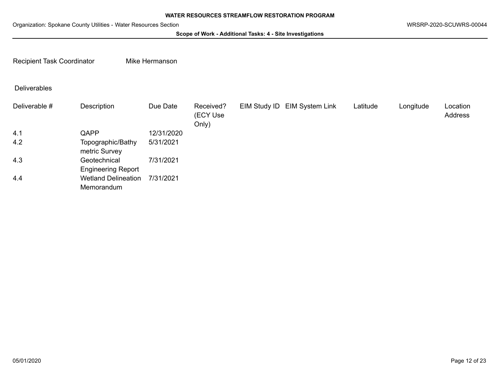**Scope of Work - Additional Tasks: 4 - Site Investigations**

Recipient Task Coordinator Mike Hermanson

# Deliverables

| Deliverable # | Description                               | Due Date   | Received?<br>(ECY Use<br>Only) | EIM Study ID EIM System Link | Latitude | Longitude | Location<br>Address |
|---------------|-------------------------------------------|------------|--------------------------------|------------------------------|----------|-----------|---------------------|
| 4.1           | QAPP                                      | 12/31/2020 |                                |                              |          |           |                     |
| 4.2           | Topographic/Bathy<br>metric Survey        | 5/31/2021  |                                |                              |          |           |                     |
| 4.3           | Geotechnical<br><b>Engineering Report</b> | 7/31/2021  |                                |                              |          |           |                     |
| 4.4           | <b>Wetland Delineation</b><br>Memorandum  | 7/31/2021  |                                |                              |          |           |                     |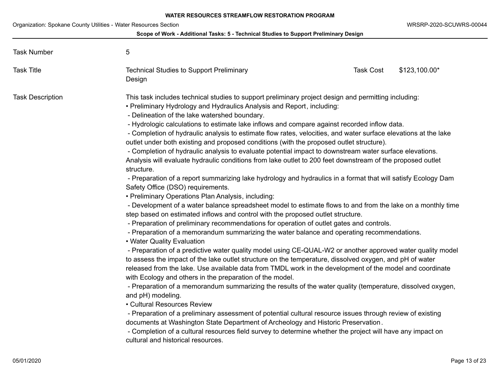## **Scope of Work - Additional Tasks: 5 - Technical Studies to Support Preliminary Design**

| <b>Task Number</b>      | 5                                                                                                                                                                                                                                                                                                                                                                                                                                                                                                                                                                                                                                                                                                                                                                                                                                                                                                                                                                                                                                                                                                                                                                                                                                                                                                                                                                                                                                                                                                                                                                                                                                                                                                                                                                                                                                                                                                                                                                                                                                                                                                                                                                                                                                                                                                                                                     |                  |               |
|-------------------------|-------------------------------------------------------------------------------------------------------------------------------------------------------------------------------------------------------------------------------------------------------------------------------------------------------------------------------------------------------------------------------------------------------------------------------------------------------------------------------------------------------------------------------------------------------------------------------------------------------------------------------------------------------------------------------------------------------------------------------------------------------------------------------------------------------------------------------------------------------------------------------------------------------------------------------------------------------------------------------------------------------------------------------------------------------------------------------------------------------------------------------------------------------------------------------------------------------------------------------------------------------------------------------------------------------------------------------------------------------------------------------------------------------------------------------------------------------------------------------------------------------------------------------------------------------------------------------------------------------------------------------------------------------------------------------------------------------------------------------------------------------------------------------------------------------------------------------------------------------------------------------------------------------------------------------------------------------------------------------------------------------------------------------------------------------------------------------------------------------------------------------------------------------------------------------------------------------------------------------------------------------------------------------------------------------------------------------------------------------|------------------|---------------|
| <b>Task Title</b>       | <b>Technical Studies to Support Preliminary</b><br>Design                                                                                                                                                                                                                                                                                                                                                                                                                                                                                                                                                                                                                                                                                                                                                                                                                                                                                                                                                                                                                                                                                                                                                                                                                                                                                                                                                                                                                                                                                                                                                                                                                                                                                                                                                                                                                                                                                                                                                                                                                                                                                                                                                                                                                                                                                             | <b>Task Cost</b> | \$123,100.00* |
| <b>Task Description</b> | This task includes technical studies to support preliminary project design and permitting including:<br>• Preliminary Hydrology and Hydraulics Analysis and Report, including:<br>- Delineation of the lake watershed boundary.<br>- Hydrologic calculations to estimate lake inflows and compare against recorded inflow data.<br>- Completion of hydraulic analysis to estimate flow rates, velocities, and water surface elevations at the lake<br>outlet under both existing and proposed conditions (with the proposed outlet structure).<br>- Completion of hydraulic analysis to evaluate potential impact to downstream water surface elevations.<br>Analysis will evaluate hydraulic conditions from lake outlet to 200 feet downstream of the proposed outlet<br>structure.<br>- Preparation of a report summarizing lake hydrology and hydraulics in a format that will satisfy Ecology Dam<br>Safety Office (DSO) requirements.<br>• Preliminary Operations Plan Analysis, including:<br>- Development of a water balance spreadsheet model to estimate flows to and from the lake on a monthly time<br>step based on estimated inflows and control with the proposed outlet structure.<br>- Preparation of preliminary recommendations for operation of outlet gates and controls.<br>- Preparation of a memorandum summarizing the water balance and operating recommendations.<br>• Water Quality Evaluation<br>- Preparation of a predictive water quality model using CE-QUAL-W2 or another approved water quality model<br>to assess the impact of the lake outlet structure on the temperature, dissolved oxygen, and pH of water<br>released from the lake. Use available data from TMDL work in the development of the model and coordinate<br>with Ecology and others in the preparation of the model.<br>- Preparation of a memorandum summarizing the results of the water quality (temperature, dissolved oxygen,<br>and pH) modeling.<br>• Cultural Resources Review<br>- Preparation of a preliminary assessment of potential cultural resource issues through review of existing<br>documents at Washington State Department of Archeology and Historic Preservation.<br>- Completion of a cultural resources field survey to determine whether the project will have any impact on<br>cultural and historical resources. |                  |               |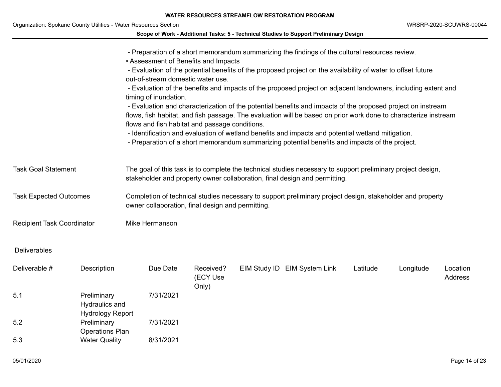|                                                                  |                                                          |                                                                                                                                                                                           |                                |  | <b>WATER RESOURCES STREAMFLOW RESTORATION PROGRAM</b>                                                                                                                                                                                                                                                                                                                                                                                                                                                                                                                                                                                                                                                                                                                    |          |           |                         |  |  |
|------------------------------------------------------------------|----------------------------------------------------------|-------------------------------------------------------------------------------------------------------------------------------------------------------------------------------------------|--------------------------------|--|--------------------------------------------------------------------------------------------------------------------------------------------------------------------------------------------------------------------------------------------------------------------------------------------------------------------------------------------------------------------------------------------------------------------------------------------------------------------------------------------------------------------------------------------------------------------------------------------------------------------------------------------------------------------------------------------------------------------------------------------------------------------------|----------|-----------|-------------------------|--|--|
| Organization: Spokane County Utilities - Water Resources Section |                                                          |                                                                                                                                                                                           |                                |  |                                                                                                                                                                                                                                                                                                                                                                                                                                                                                                                                                                                                                                                                                                                                                                          |          |           | WRSRP-2020-SCUWRS-00044 |  |  |
|                                                                  |                                                          |                                                                                                                                                                                           |                                |  | Scope of Work - Additional Tasks: 5 - Technical Studies to Support Preliminary Design                                                                                                                                                                                                                                                                                                                                                                                                                                                                                                                                                                                                                                                                                    |          |           |                         |  |  |
|                                                                  |                                                          | • Assessment of Benefits and Impacts<br>out-of-stream domestic water use.<br>timing of inundation.<br>flows and fish habitat and passage conditions.                                      |                                |  | - Preparation of a short memorandum summarizing the findings of the cultural resources review.<br>- Evaluation of the potential benefits of the proposed project on the availability of water to offset future<br>- Evaluation of the benefits and impacts of the proposed project on adjacent landowners, including extent and<br>- Evaluation and characterization of the potential benefits and impacts of the proposed project on instream<br>flows, fish habitat, and fish passage. The evaluation will be based on prior work done to characterize instream<br>- Identification and evaluation of wetland benefits and impacts and potential wetland mitigation.<br>- Preparation of a short memorandum summarizing potential benefits and impacts of the project. |          |           |                         |  |  |
| <b>Task Goal Statement</b>                                       |                                                          | The goal of this task is to complete the technical studies necessary to support preliminary project design,<br>stakeholder and property owner collaboration, final design and permitting. |                                |  |                                                                                                                                                                                                                                                                                                                                                                                                                                                                                                                                                                                                                                                                                                                                                                          |          |           |                         |  |  |
| <b>Task Expected Outcomes</b>                                    |                                                          | Completion of technical studies necessary to support preliminary project design, stakeholder and property<br>owner collaboration, final design and permitting.                            |                                |  |                                                                                                                                                                                                                                                                                                                                                                                                                                                                                                                                                                                                                                                                                                                                                                          |          |           |                         |  |  |
| <b>Recipient Task Coordinator</b>                                |                                                          | Mike Hermanson                                                                                                                                                                            |                                |  |                                                                                                                                                                                                                                                                                                                                                                                                                                                                                                                                                                                                                                                                                                                                                                          |          |           |                         |  |  |
| <b>Deliverables</b>                                              |                                                          |                                                                                                                                                                                           |                                |  |                                                                                                                                                                                                                                                                                                                                                                                                                                                                                                                                                                                                                                                                                                                                                                          |          |           |                         |  |  |
| Deliverable #                                                    | Description                                              | Due Date                                                                                                                                                                                  | Received?<br>(ECY Use<br>Only) |  | EIM Study ID EIM System Link                                                                                                                                                                                                                                                                                                                                                                                                                                                                                                                                                                                                                                                                                                                                             | Latitude | Longitude | Location<br>Address     |  |  |
| 5.1                                                              | Preliminary<br>Hydraulics and<br><b>Hydrology Report</b> | 7/31/2021                                                                                                                                                                                 |                                |  |                                                                                                                                                                                                                                                                                                                                                                                                                                                                                                                                                                                                                                                                                                                                                                          |          |           |                         |  |  |
| 5.2                                                              | Preliminary<br><b>Operations Plan</b>                    | 7/31/2021                                                                                                                                                                                 |                                |  |                                                                                                                                                                                                                                                                                                                                                                                                                                                                                                                                                                                                                                                                                                                                                                          |          |           |                         |  |  |
| 5.3                                                              | <b>Water Quality</b>                                     | 8/31/2021                                                                                                                                                                                 |                                |  |                                                                                                                                                                                                                                                                                                                                                                                                                                                                                                                                                                                                                                                                                                                                                                          |          |           |                         |  |  |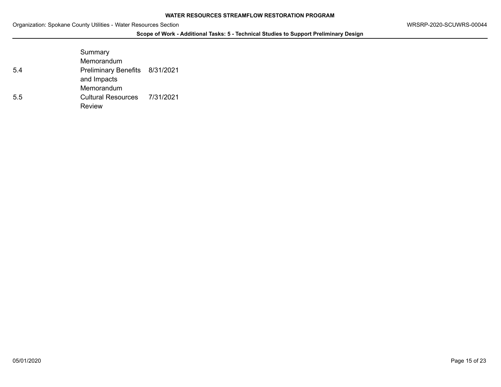## **Scope of Work - Additional Tasks: 5 - Technical Studies to Support Preliminary Design**

|     | Summary                        |  |
|-----|--------------------------------|--|
|     | Memorandum                     |  |
| 5.4 | Preliminary Benefits 8/31/2021 |  |
|     | and Impacts                    |  |
|     | Memorandum                     |  |
| 5.5 | Cultural Resources 7/31/2021   |  |
|     | Review                         |  |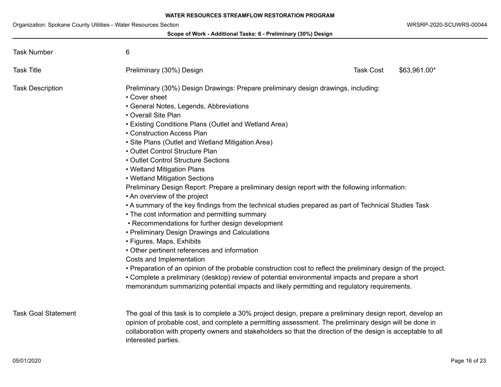## **Scope of Work - Additional Tasks: 6 - Preliminary (30%) Design**

| <b>Task Number</b>         | 6                                                                                                                                                                                                                                                                                                                                                                                                                                                                                                                                                                                                                                                                                                                                                                                                                                                                                                                                                                                                                                                                                                                                                                                                                                                                                           |                                  |  |
|----------------------------|---------------------------------------------------------------------------------------------------------------------------------------------------------------------------------------------------------------------------------------------------------------------------------------------------------------------------------------------------------------------------------------------------------------------------------------------------------------------------------------------------------------------------------------------------------------------------------------------------------------------------------------------------------------------------------------------------------------------------------------------------------------------------------------------------------------------------------------------------------------------------------------------------------------------------------------------------------------------------------------------------------------------------------------------------------------------------------------------------------------------------------------------------------------------------------------------------------------------------------------------------------------------------------------------|----------------------------------|--|
| <b>Task Title</b>          | Preliminary (30%) Design                                                                                                                                                                                                                                                                                                                                                                                                                                                                                                                                                                                                                                                                                                                                                                                                                                                                                                                                                                                                                                                                                                                                                                                                                                                                    | <b>Task Cost</b><br>\$63,961.00* |  |
| <b>Task Description</b>    | Preliminary (30%) Design Drawings: Prepare preliminary design drawings, including:<br>• Cover sheet<br>• General Notes, Legends, Abbreviations<br>• Overall Site Plan<br>• Existing Conditions Plans (Outlet and Wetland Area)<br>• Construction Access Plan<br>• Site Plans (Outlet and Wetland Mitigation Area)<br>• Outlet Control Structure Plan<br>• Outlet Control Structure Sections<br>• Wetland Mitigation Plans<br>• Wetland Mitigation Sections<br>Preliminary Design Report: Prepare a preliminary design report with the following information:<br>• An overview of the project<br>• A summary of the key findings from the technical studies prepared as part of Technical Studies Task<br>• The cost information and permitting summary<br>• Recommendations for further design development<br>• Preliminary Design Drawings and Calculations<br>• Figures, Maps, Exhibits<br>• Other pertinent references and information<br>Costs and Implementation<br>. Preparation of an opinion of the probable construction cost to reflect the preliminary design of the project.<br>• Complete a preliminary (desktop) review of potential environmental impacts and prepare a short<br>memorandum summarizing potential impacts and likely permitting and regulatory requirements. |                                  |  |
| <b>Task Goal Statement</b> | The goal of this task is to complete a 30% project design, prepare a preliminary design report, develop an<br>opinion of probable cost, and complete a permitting assessment. The preliminary design will be done in<br>collaboration with property owners and stakeholders so that the direction of the design is acceptable to all<br>interested parties.                                                                                                                                                                                                                                                                                                                                                                                                                                                                                                                                                                                                                                                                                                                                                                                                                                                                                                                                 |                                  |  |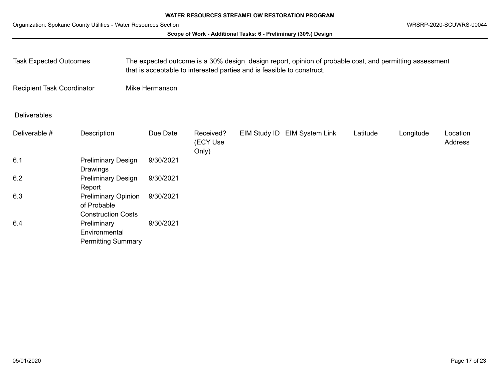## **Scope of Work - Additional Tasks: 6 - Preliminary (30%) Design**

| <b>Task Expected Outcomes</b>     |                                                                        | The expected outcome is a 30% design, design report, opinion of probable cost, and permitting assessment<br>that is acceptable to interested parties and is feasible to construct. |                                |              |                        |          |           |                     |  |
|-----------------------------------|------------------------------------------------------------------------|------------------------------------------------------------------------------------------------------------------------------------------------------------------------------------|--------------------------------|--------------|------------------------|----------|-----------|---------------------|--|
| <b>Recipient Task Coordinator</b> |                                                                        | Mike Hermanson                                                                                                                                                                     |                                |              |                        |          |           |                     |  |
| <b>Deliverables</b>               |                                                                        |                                                                                                                                                                                    |                                |              |                        |          |           |                     |  |
| Deliverable #                     | Description                                                            | Due Date                                                                                                                                                                           | Received?<br>(ECY Use<br>Only) | EIM Study ID | <b>EIM System Link</b> | Latitude | Longitude | Location<br>Address |  |
| 6.1                               | <b>Preliminary Design</b><br>Drawings                                  | 9/30/2021                                                                                                                                                                          |                                |              |                        |          |           |                     |  |
| 6.2                               | <b>Preliminary Design</b><br>Report                                    | 9/30/2021                                                                                                                                                                          |                                |              |                        |          |           |                     |  |
| 6.3                               | <b>Preliminary Opinion</b><br>of Probable<br><b>Construction Costs</b> | 9/30/2021                                                                                                                                                                          |                                |              |                        |          |           |                     |  |
| 6.4                               | Preliminary<br>Environmental<br><b>Permitting Summary</b>              | 9/30/2021                                                                                                                                                                          |                                |              |                        |          |           |                     |  |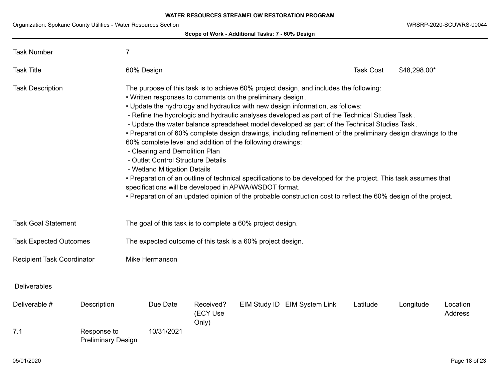Organization: Spokane County Utilities - Water Resources Section WRSRP-2020-SCUWRS-00044

|                                   |                                                         |                                                                                                                                                                                                                                                                                                                                                                                                                                                                                                                                                                                                                                                                                                                                                                                                                                                                                                                                                                                                                                   |                                | Scope of Work - Additional Tasks: 7 - 60% Design |                              |                  |              |                            |  |  |
|-----------------------------------|---------------------------------------------------------|-----------------------------------------------------------------------------------------------------------------------------------------------------------------------------------------------------------------------------------------------------------------------------------------------------------------------------------------------------------------------------------------------------------------------------------------------------------------------------------------------------------------------------------------------------------------------------------------------------------------------------------------------------------------------------------------------------------------------------------------------------------------------------------------------------------------------------------------------------------------------------------------------------------------------------------------------------------------------------------------------------------------------------------|--------------------------------|--------------------------------------------------|------------------------------|------------------|--------------|----------------------------|--|--|
| <b>Task Number</b>                | 7                                                       |                                                                                                                                                                                                                                                                                                                                                                                                                                                                                                                                                                                                                                                                                                                                                                                                                                                                                                                                                                                                                                   |                                |                                                  |                              |                  |              |                            |  |  |
| <b>Task Title</b>                 |                                                         | 60% Design                                                                                                                                                                                                                                                                                                                                                                                                                                                                                                                                                                                                                                                                                                                                                                                                                                                                                                                                                                                                                        |                                |                                                  |                              | <b>Task Cost</b> | \$48,298.00* |                            |  |  |
| <b>Task Description</b>           |                                                         | The purpose of this task is to achieve 60% project design, and includes the following:<br>. Written responses to comments on the preliminary design.<br>. Update the hydrology and hydraulics with new design information, as follows:<br>- Refine the hydrologic and hydraulic analyses developed as part of the Technical Studies Task.<br>- Update the water balance spreadsheet model developed as part of the Technical Studies Task.<br>• Preparation of 60% complete design drawings, including refinement of the preliminary design drawings to the<br>60% complete level and addition of the following drawings:<br>- Clearing and Demolition Plan<br>- Outlet Control Structure Details<br>- Wetland Mitigation Details<br>• Preparation of an outline of technical specifications to be developed for the project. This task assumes that<br>specifications will be developed in APWA/WSDOT format.<br>• Preparation of an updated opinion of the probable construction cost to reflect the 60% design of the project. |                                |                                                  |                              |                  |              |                            |  |  |
| <b>Task Goal Statement</b>        |                                                         | The goal of this task is to complete a 60% project design.                                                                                                                                                                                                                                                                                                                                                                                                                                                                                                                                                                                                                                                                                                                                                                                                                                                                                                                                                                        |                                |                                                  |                              |                  |              |                            |  |  |
| <b>Task Expected Outcomes</b>     |                                                         | The expected outcome of this task is a 60% project design.                                                                                                                                                                                                                                                                                                                                                                                                                                                                                                                                                                                                                                                                                                                                                                                                                                                                                                                                                                        |                                |                                                  |                              |                  |              |                            |  |  |
| <b>Recipient Task Coordinator</b> |                                                         | Mike Hermanson                                                                                                                                                                                                                                                                                                                                                                                                                                                                                                                                                                                                                                                                                                                                                                                                                                                                                                                                                                                                                    |                                |                                                  |                              |                  |              |                            |  |  |
| <b>Deliverables</b>               |                                                         |                                                                                                                                                                                                                                                                                                                                                                                                                                                                                                                                                                                                                                                                                                                                                                                                                                                                                                                                                                                                                                   |                                |                                                  |                              |                  |              |                            |  |  |
| Deliverable #<br>7.1              | Description<br>Response to<br><b>Preliminary Design</b> | Due Date<br>10/31/2021                                                                                                                                                                                                                                                                                                                                                                                                                                                                                                                                                                                                                                                                                                                                                                                                                                                                                                                                                                                                            | Received?<br>(ECY Use<br>Only) |                                                  | EIM Study ID EIM System Link | Latitude         | Longitude    | Location<br><b>Address</b> |  |  |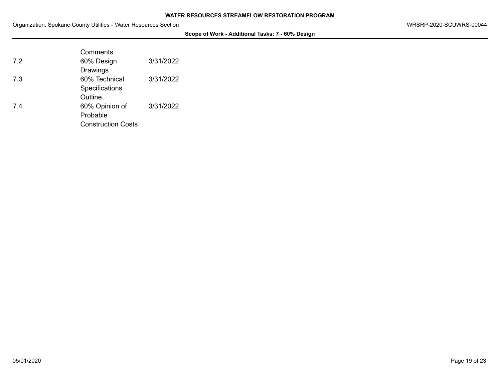**Scope of Work - Additional Tasks: 7 - 60% Design**

|     | Comments                  |           |
|-----|---------------------------|-----------|
| 7.2 | 60% Design                | 3/31/2022 |
|     | Drawings                  |           |
| 7.3 | 60% Technical             | 3/31/2022 |
|     | Specifications            |           |
|     | Outline                   |           |
| 7.4 | 60% Opinion of            | 3/31/2022 |
|     | Probable                  |           |
|     | <b>Construction Costs</b> |           |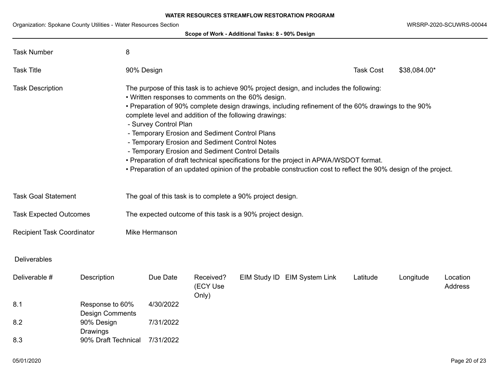Organization: Spokane County Utilities - Water Resources Section WRSRP-2020-SCUWRS-00044

| Scope of Work - Additional Tasks: 8 - 90% Design                                                                                                                                                                                                                                                                                                                                                                                                                                                                                                                                                                                                                                                                                     |                                           |                                                            |           |                                |  |                              |                  |              |                            |
|--------------------------------------------------------------------------------------------------------------------------------------------------------------------------------------------------------------------------------------------------------------------------------------------------------------------------------------------------------------------------------------------------------------------------------------------------------------------------------------------------------------------------------------------------------------------------------------------------------------------------------------------------------------------------------------------------------------------------------------|-------------------------------------------|------------------------------------------------------------|-----------|--------------------------------|--|------------------------------|------------------|--------------|----------------------------|
| <b>Task Number</b>                                                                                                                                                                                                                                                                                                                                                                                                                                                                                                                                                                                                                                                                                                                   |                                           | 8                                                          |           |                                |  |                              |                  |              |                            |
| <b>Task Title</b>                                                                                                                                                                                                                                                                                                                                                                                                                                                                                                                                                                                                                                                                                                                    |                                           | 90% Design                                                 |           |                                |  |                              | <b>Task Cost</b> | \$38,084.00* |                            |
| The purpose of this task is to achieve 90% project design, and includes the following:<br><b>Task Description</b><br>• Written responses to comments on the 60% design.<br>• Preparation of 90% complete design drawings, including refinement of the 60% drawings to the 90%<br>complete level and addition of the following drawings:<br>- Survey Control Plan<br>- Temporary Erosion and Sediment Control Plans<br>- Temporary Erosion and Sediment Control Notes<br>- Temporary Erosion and Sediment Control Details<br>• Preparation of draft technical specifications for the project in APWA/WSDOT format.<br>• Preparation of an updated opinion of the probable construction cost to reflect the 90% design of the project. |                                           |                                                            |           |                                |  |                              |                  |              |                            |
| <b>Task Goal Statement</b>                                                                                                                                                                                                                                                                                                                                                                                                                                                                                                                                                                                                                                                                                                           |                                           | The goal of this task is to complete a 90% project design. |           |                                |  |                              |                  |              |                            |
| <b>Task Expected Outcomes</b>                                                                                                                                                                                                                                                                                                                                                                                                                                                                                                                                                                                                                                                                                                        |                                           | The expected outcome of this task is a 90% project design. |           |                                |  |                              |                  |              |                            |
| <b>Recipient Task Coordinator</b>                                                                                                                                                                                                                                                                                                                                                                                                                                                                                                                                                                                                                                                                                                    |                                           | Mike Hermanson                                             |           |                                |  |                              |                  |              |                            |
| <b>Deliverables</b>                                                                                                                                                                                                                                                                                                                                                                                                                                                                                                                                                                                                                                                                                                                  |                                           |                                                            |           |                                |  |                              |                  |              |                            |
| Deliverable #                                                                                                                                                                                                                                                                                                                                                                                                                                                                                                                                                                                                                                                                                                                        | Description                               |                                                            | Due Date  | Received?<br>(ECY Use<br>Only) |  | EIM Study ID EIM System Link | Latitude         | Longitude    | Location<br><b>Address</b> |
| 8.1                                                                                                                                                                                                                                                                                                                                                                                                                                                                                                                                                                                                                                                                                                                                  | Response to 60%<br><b>Design Comments</b> |                                                            | 4/30/2022 |                                |  |                              |                  |              |                            |
| 8.2                                                                                                                                                                                                                                                                                                                                                                                                                                                                                                                                                                                                                                                                                                                                  | 90% Design<br>Drawings                    |                                                            | 7/31/2022 |                                |  |                              |                  |              |                            |
| 8.3                                                                                                                                                                                                                                                                                                                                                                                                                                                                                                                                                                                                                                                                                                                                  | 90% Draft Technical                       |                                                            | 7/31/2022 |                                |  |                              |                  |              |                            |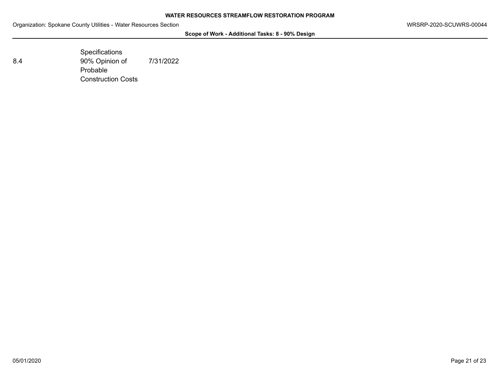**Scope of Work - Additional Tasks: 8 - 90% Design**

**Specifications** 8.4 90% Opinion of Probable Construction Costs 7/31/2022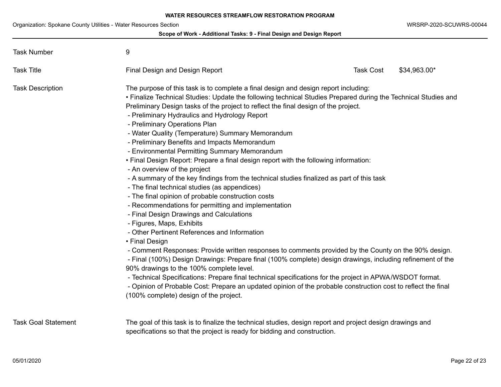|                            | Scope of Work - Additional Tasks: 9 - Final Design and Design Report                                                                                                                                                                                                                                                                                                                                                                                                                                                                                                                                                                                                                                                                                                                                                                                                                                                                                                                                                                                                                                                                                                                                                                                                                                                                                                                                                                                                                                                                                                                                        |                  |              |
|----------------------------|-------------------------------------------------------------------------------------------------------------------------------------------------------------------------------------------------------------------------------------------------------------------------------------------------------------------------------------------------------------------------------------------------------------------------------------------------------------------------------------------------------------------------------------------------------------------------------------------------------------------------------------------------------------------------------------------------------------------------------------------------------------------------------------------------------------------------------------------------------------------------------------------------------------------------------------------------------------------------------------------------------------------------------------------------------------------------------------------------------------------------------------------------------------------------------------------------------------------------------------------------------------------------------------------------------------------------------------------------------------------------------------------------------------------------------------------------------------------------------------------------------------------------------------------------------------------------------------------------------------|------------------|--------------|
| <b>Task Number</b>         | 9                                                                                                                                                                                                                                                                                                                                                                                                                                                                                                                                                                                                                                                                                                                                                                                                                                                                                                                                                                                                                                                                                                                                                                                                                                                                                                                                                                                                                                                                                                                                                                                                           |                  |              |
| <b>Task Title</b>          | <b>Final Design and Design Report</b>                                                                                                                                                                                                                                                                                                                                                                                                                                                                                                                                                                                                                                                                                                                                                                                                                                                                                                                                                                                                                                                                                                                                                                                                                                                                                                                                                                                                                                                                                                                                                                       | <b>Task Cost</b> | \$34,963.00* |
| <b>Task Description</b>    | The purpose of this task is to complete a final design and design report including:<br>• Finalize Technical Studies: Update the following technical Studies Prepared during the Technical Studies and<br>Preliminary Design tasks of the project to reflect the final design of the project.<br>- Preliminary Hydraulics and Hydrology Report<br>- Preliminary Operations Plan<br>- Water Quality (Temperature) Summary Memorandum<br>- Preliminary Benefits and Impacts Memorandum<br>- Environmental Permitting Summary Memorandum<br>• Final Design Report: Prepare a final design report with the following information:<br>- An overview of the project<br>- A summary of the key findings from the technical studies finalized as part of this task<br>- The final technical studies (as appendices)<br>- The final opinion of probable construction costs<br>- Recommendations for permitting and implementation<br>- Final Design Drawings and Calculations<br>- Figures, Maps, Exhibits<br>- Other Pertinent References and Information<br>• Final Design<br>- Comment Responses: Provide written responses to comments provided by the County on the 90% design.<br>- Final (100%) Design Drawings: Prepare final (100% complete) design drawings, including refinement of the<br>90% drawings to the 100% complete level.<br>- Technical Specifications: Prepare final technical specifications for the project in APWA/WSDOT format.<br>- Opinion of Probable Cost: Prepare an updated opinion of the probable construction cost to reflect the final<br>(100% complete) design of the project. |                  |              |
| <b>Task Goal Statement</b> | The goal of this task is to finalize the technical studies, design report and project design drawings and<br>specifications so that the project is ready for bidding and construction.                                                                                                                                                                                                                                                                                                                                                                                                                                                                                                                                                                                                                                                                                                                                                                                                                                                                                                                                                                                                                                                                                                                                                                                                                                                                                                                                                                                                                      |                  |              |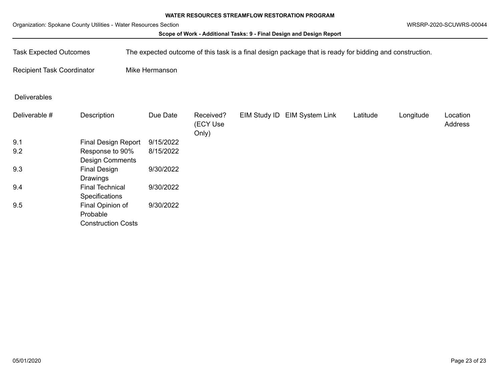Organization: Spokane County Utilities - Water Resources Section WRSRP-2020-SCUWRS-00044

### **Scope of Work - Additional Tasks: 9 - Final Design and Design Report**

Task Expected Outcomes The expected outcome of this task is a final design package that is ready for bidding and construction.

Recipient Task Coordinator Mike Hermanson

Deliverables

| Deliverable # | Description                | Due Date  | Received?<br>(ECY Use<br>Only) | EIM Study ID EIM System Link | Latitude | Longitude | Location<br>Address |
|---------------|----------------------------|-----------|--------------------------------|------------------------------|----------|-----------|---------------------|
| 9.1           | <b>Final Design Report</b> | 9/15/2022 |                                |                              |          |           |                     |
| 9.2           | Response to 90%            | 8/15/2022 |                                |                              |          |           |                     |
|               | <b>Design Comments</b>     |           |                                |                              |          |           |                     |
| 9.3           | <b>Final Design</b>        | 9/30/2022 |                                |                              |          |           |                     |
|               | Drawings                   |           |                                |                              |          |           |                     |
| 9.4           | <b>Final Technical</b>     | 9/30/2022 |                                |                              |          |           |                     |
|               | Specifications             |           |                                |                              |          |           |                     |
| 9.5           | Final Opinion of           | 9/30/2022 |                                |                              |          |           |                     |
|               | Probable                   |           |                                |                              |          |           |                     |
|               | <b>Construction Costs</b>  |           |                                |                              |          |           |                     |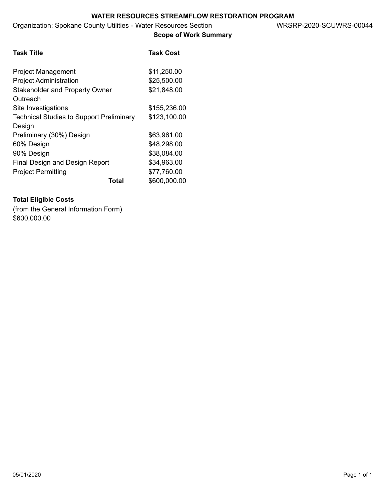**Scope of Work Summary**

| <b>Task Title</b>                               | <b>Task Cost</b>      |
|-------------------------------------------------|-----------------------|
| <b>Project Management</b>                       | \$11,250.00           |
| <b>Project Administration</b>                   | \$25,500.00           |
| <b>Stakeholder and Property Owner</b>           | \$21,848.00           |
| Outreach                                        |                       |
| Site Investigations                             | \$155,236.00          |
| <b>Technical Studies to Support Preliminary</b> | \$123,100.00          |
| Design                                          |                       |
| Preliminary (30%) Design                        | \$63,961.00           |
| 60% Design                                      | \$48,298.00           |
| 90% Design                                      | \$38,084.00           |
| <b>Final Design and Design Report</b>           | \$34,963.00           |
| <b>Project Permitting</b>                       | \$77,760.00           |
|                                                 | \$600,000.00<br>Total |

# **Total Eligible Costs**

(from the General Information Form) \$600,000.00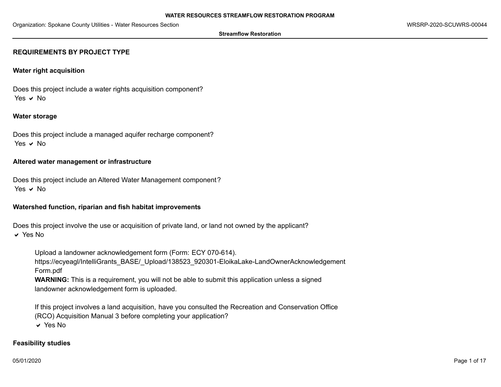#### **Streamflow Restoration**

## **REQUIREMENTS BY PROJECT TYPE**

## **Water right acquisition**

Does this project include a water rights acquisition component? Yes  $\vee$  No

## **Water storage**

Does this project include a managed aquifer recharge component? Yes  $\vee$  No

## **Altered water management or infrastructure**

Does this project include an Altered Water Management component? Yes  $\vee$  No

## **Watershed function, riparian and fish habitat improvements**

Does this project involve the use or acquisition of private land, or land not owned by the applicant?

 $\vee$  Yes No

Upload a landowner acknowledgement form (Form: ECY 070-614).

https://ecyeagl/IntelliGrants\_BASE/\_Upload/138523\_920301-EloikaLake-LandOwnerAcknowledgement Form.pdf

**WARNING:** This is a requirement, you will not be able to submit this application unless a signed landowner acknowledgement form is uploaded.

If this project involves a land acquisition, have you consulted the Recreation and Conservation Office (RCO) Acquisition Manual 3 before completing your application?

 $\vee$  Yes No

## **Feasibility studies**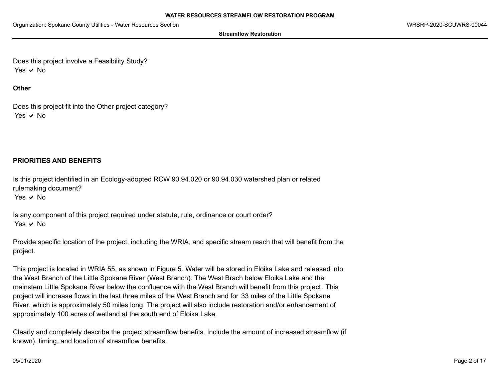**Streamflow Restoration**

Does this project involve a Feasibility Study? Yes  $\vee$  No

**Other**

Does this project fit into the Other project category? Yes  $\vee$  No

# **PRIORITIES AND BENEFITS**

Is this project identified in an Ecology-adopted RCW 90.94.020 or 90.94.030 watershed plan or related rulemaking document?

Yes  $\vee$  No

Is any component of this project required under statute, rule, ordinance or court order? Yes  $\vee$  No

Provide specific location of the project, including the WRIA, and specific stream reach that will benefit from the project.

This project is located in WRIA 55, as shown in Figure 5. Water will be stored in Eloika Lake and released into the West Branch of the Little Spokane River (West Branch). The West Brach below Eloika Lake and the mainstem Little Spokane River below the confluence with the West Branch will benefit from this project . This project will increase flows in the last three miles of the West Branch and for 33 miles of the Little Spokane River, which is approximately 50 miles long. The project will also include restoration and/or enhancement of approximately 100 acres of wetland at the south end of Eloika Lake.

Clearly and completely describe the project streamflow benefits. Include the amount of increased streamflow (if known), timing, and location of streamflow benefits.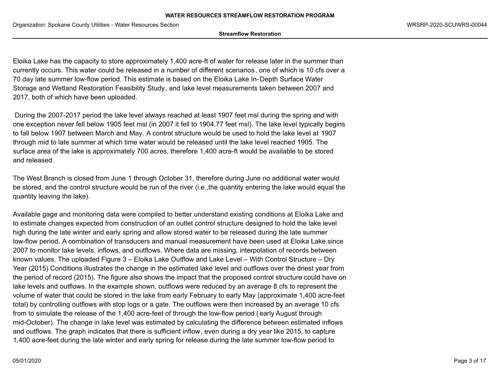**Streamflow Restoration**

Eloika Lake has the capacity to store approximately 1,400 acre-ft of water for release later in the summer than currently occurs. This water could be released in a number of different scenarios, one of which is 10 cfs over a 70 day late summer low-flow period. This estimate is based on the Eloika Lake In-Depth Surface Water Storage and Wetland Restoration Feasibility Study, and lake level measurements taken between 2007 and 2017, both of which have been uploaded.

 During the 2007-2017 period the lake level always reached at least 1907 feet msl during the spring and with one exception never fell below 1905 feet msl (in 2007 it fell to 1904.77 feet msl). The lake level typically begins to fall below 1907 between March and May. A control structure would be used to hold the lake level at 1907 through mid to late summer at which time water would be released until the lake level reached 1905. The surface area of the lake is approximately 700 acres, therefore 1,400 acre-ft would be available to be stored and released.

The West Branch is closed from June 1 through October 31, therefore during June no additional water would be stored, and the control structure would be run of the river (i.e.,the quantity entering the lake would equal the quantity leaving the lake).

Available gage and monitoring data were compiled to better understand existing conditions at Eloika Lake and to estimate changes expected from construction of an outlet control structure designed to hold the lake level high during the late winter and early spring and allow stored water to be released during the late summer low-flow period. A combination of transducers and manual measurement have been used at Eloika Lake since 2007 to monitor lake levels, inflows, and outflows. Where data are missing, interpolation of records between known values. The uploaded Figure 3 – Eloika Lake Outflow and Lake Level – With Control Structure – Dry Year (2015) Conditions illustrates the change in the estimated lake level and outflows over the driest year from the period of record (2015). The figure also shows the impact that the proposed control structure could have on lake levels and outflows. In the example shown, outflows were reduced by an average 8 cfs to represent the volume of water that could be stored in the lake from early February to early May (approximate 1,400 acre-feet total) by controlling outflows with stop logs or a gate. The outflows were then increased by an average 10 cfs from to simulate the release of the 1,400 acre-feet of through the low-flow period (early August through mid-October). The change in lake level was estimated by calculating the difference between estimated inflows and outflows. The graph indicates that there is sufficient inflow, even during a dry year like 2015, to capture 1,400 acre-feet during the late winter and early spring for release during the late summer low-flow period to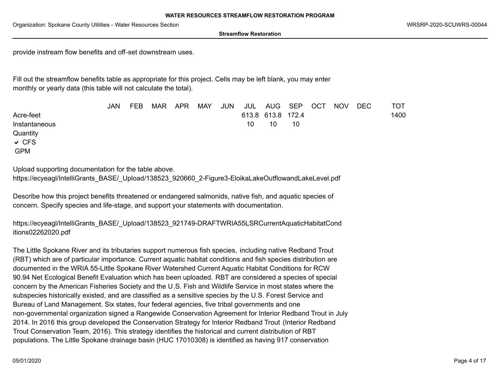**Streamflow Restoration**

provide instream flow benefits and off-set downstream uses.

Fill out the streamflow benefits table as appropriate for this project. Cells may be left blank, you may enter monthly or yearly data (this table will not calculate the total).

|               | <b>JAN</b> | <b>FEB</b> | <b>MAR</b> | APR | <b>MAY</b> | <b>JUN</b> |    | JUL AUG SEP       |    | <b>OCT</b> | <b>NOV</b> | DEC | TOT  |
|---------------|------------|------------|------------|-----|------------|------------|----|-------------------|----|------------|------------|-----|------|
| Acre-feet     |            |            |            |     |            |            |    | 613.8 613.8 172.4 |    |            |            |     | 1400 |
| Instantaneous |            |            |            |     |            |            | 10 | 10                | 10 |            |            |     |      |
| Quantity      |            |            |            |     |            |            |    |                   |    |            |            |     |      |
| $\vee$ CFS    |            |            |            |     |            |            |    |                   |    |            |            |     |      |
| <b>GPM</b>    |            |            |            |     |            |            |    |                   |    |            |            |     |      |

Upload supporting documentation for the table above.

https://ecyeagl/IntelliGrants\_BASE/\_Upload/138523\_920660\_2-Figure3-EloikaLakeOutflowandLakeLevel.pdf

Describe how this project benefits threatened or endangered salmonids, native fish, and aquatic species of concern. Specify species and life-stage, and support your statements with documentation.

https://ecyeagl/IntelliGrants\_BASE/\_Upload/138523\_921749-DRAFTWRIA55LSRCurrentAquaticHabitatCond itions02262020.pdf

The Little Spokane River and its tributaries support numerous fish species, including native Redband Trout (RBT) which are of particular importance. Current aquatic habitat conditions and fish species distribution are documented in the WRIA 55-Little Spokane River Watershed Current Aquatic Habitat Conditions for RCW 90.94 Net Ecological Benefit Evaluation which has been uploaded. RBT are considered a species of special concern by the American Fisheries Society and the U.S. Fish and Wildlife Service in most states where the subspecies historically existed, and are classified as a sensitive species by the U.S. Forest Service and Bureau of Land Management. Six states, four federal agencies, five tribal governments and one non-governmental organization signed a Rangewide Conservation Agreement for Interior Redband Trout in July 2014. In 2016 this group developed the Conservation Strategy for Interior Redband Trout (Interior Redband Trout Conservation Team, 2016). This strategy identifies the historical and current distribution of RBT populations. The Little Spokane drainage basin (HUC 17010308) is identified as having 917 conservation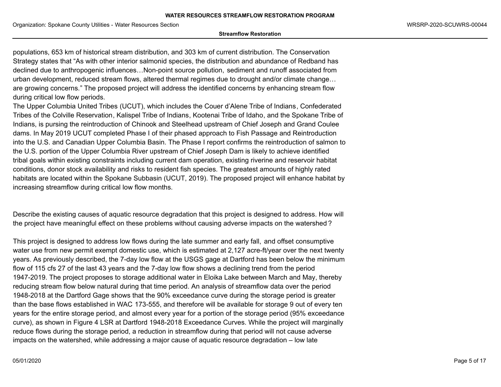#### **Streamflow Restoration**

populations, 653 km of historical stream distribution, and 303 km of current distribution. The Conservation Strategy states that "As with other interior salmonid species, the distribution and abundance of Redband has declined due to anthropogenic influences…Non-point source pollution, sediment and runoff associated from urban development, reduced stream flows, altered thermal regimes due to drought and/or climate change… are growing concerns." The proposed project will address the identified concerns by enhancing stream flow during critical low flow periods.

The Upper Columbia United Tribes (UCUT), which includes the Couer d'Alene Tribe of Indians, Confederated Tribes of the Colville Reservation, Kalispel Tribe of Indians, Kootenai Tribe of Idaho, and the Spokane Tribe of Indians, is pursing the reintroduction of Chinook and Steelhead upstream of Chief Joseph and Grand Coulee dams. In May 2019 UCUT completed Phase I of their phased approach to Fish Passage and Reintroduction into the U.S. and Canadian Upper Columbia Basin. The Phase I report confirms the reintroduction of salmon to the U.S. portion of the Upper Columbia River upstream of Chief Joseph Dam is likely to achieve identified tribal goals within existing constraints including current dam operation, existing riverine and reservoir habitat conditions, donor stock availability and risks to resident fish species. The greatest amounts of highly rated habitats are located within the Spokane Subbasin (UCUT, 2019). The proposed project will enhance habitat by increasing streamflow during critical low flow months.

Describe the existing causes of aquatic resource degradation that this project is designed to address. How will the project have meaningful effect on these problems without causing adverse impacts on the watershed ?

This project is designed to address low flows during the late summer and early fall, and offset consumptive water use from new permit exempt domestic use, which is estimated at 2,127 acre-ft/year over the next twenty years. As previously described, the 7-day low flow at the USGS gage at Dartford has been below the minimum flow of 115 cfs 27 of the last 43 years and the 7-day low flow shows a declining trend from the period 1947-2019. The project proposes to storage additional water in Eloika Lake between March and May, thereby reducing stream flow below natural during that time period. An analysis of streamflow data over the period 1948-2018 at the Dartford Gage shows that the 90% exceedance curve during the storage period is greater than the base flows established in WAC 173-555, and therefore will be available for storage 9 out of every ten years for the entire storage period, and almost every year for a portion of the storage period (95% exceedance curve), as shown in Figure 4 LSR at Dartford 1948-2018 Exceedance Curves. While the project will marginally reduce flows during the storage period, a reduction in streamflow during that period will not cause adverse impacts on the watershed, while addressing a major cause of aquatic resource degradation – low late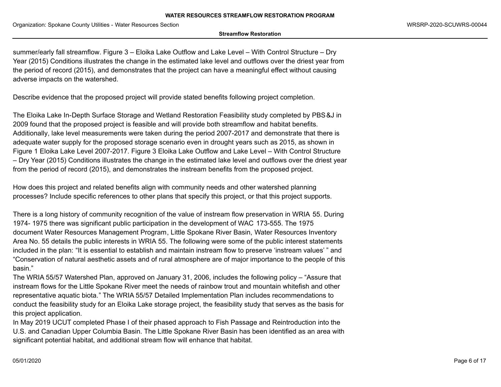#### **Streamflow Restoration**

summer/early fall streamflow. Figure 3 – Eloika Lake Outflow and Lake Level – With Control Structure – Dry Year (2015) Conditions illustrates the change in the estimated lake level and outflows over the driest year from the period of record (2015), and demonstrates that the project can have a meaningful effect without causing adverse impacts on the watershed.

Describe evidence that the proposed project will provide stated benefits following project completion.

The Eloika Lake In-Depth Surface Storage and Wetland Restoration Feasibility study completed by PBS&J in 2009 found that the proposed project is feasible and will provide both streamflow and habitat benefits. Additionally, lake level measurements were taken during the period 2007-2017 and demonstrate that there is adequate water supply for the proposed storage scenario even in drought years such as 2015, as shown in Figure 1 Eloika Lake Level 2007-2017. Figure 3 Eloika Lake Outflow and Lake Level – With Control Structure – Dry Year (2015) Conditions illustrates the change in the estimated lake level and outflows over the driest year from the period of record (2015), and demonstrates the instream benefits from the proposed project.

How does this project and related benefits align with community needs and other watershed planning processes? Include specific references to other plans that specify this project, or that this project supports.

There is a long history of community recognition of the value of instream flow preservation in WRIA 55. During 1974- 1975 there was significant public participation in the development of WAC 173-555. The 1975 document Water Resources Management Program, Little Spokane River Basin, Water Resources Inventory Area No. 55 details the public interests in WRIA 55. The following were some of the public interest statements included in the plan: "It is essential to establish and maintain instream flow to preserve 'instream values' " and "Conservation of natural aesthetic assets and of rural atmosphere are of major importance to the people of this basin."

The WRIA 55/57 Watershed Plan, approved on January 31, 2006, includes the following policy – "Assure that instream flows for the Little Spokane River meet the needs of rainbow trout and mountain whitefish and other representative aquatic biota." The WRIA 55/57 Detailed Implementation Plan includes recommendations to conduct the feasibility study for an Eloika Lake storage project, the feasibility study that serves as the basis for this project application.

In May 2019 UCUT completed Phase I of their phased approach to Fish Passage and Reintroduction into the U.S. and Canadian Upper Columbia Basin. The Little Spokane River Basin has been identified as an area with significant potential habitat, and additional stream flow will enhance that habitat.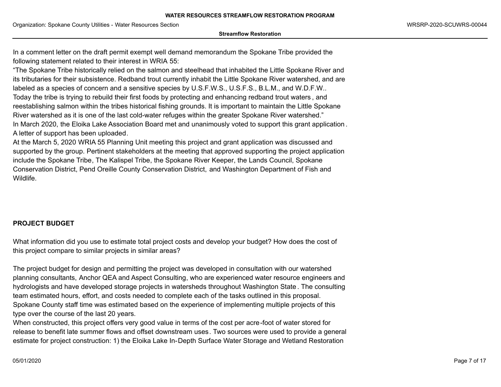**Streamflow Restoration**

In a comment letter on the draft permit exempt well demand memorandum the Spokane Tribe provided the following statement related to their interest in WRIA 55:

"The Spokane Tribe historically relied on the salmon and steelhead that inhabited the Little Spokane River and its tributaries for their subsistence. Redband trout currently inhabit the Little Spokane River watershed, and are labeled as a species of concern and a sensitive species by U.S.F.W.S., U.S.F.S., B.L.M., and W.D.F.W.. Today the tribe is trying to rebuild their first foods by protecting and enhancing redband trout waters , and reestablishing salmon within the tribes historical fishing grounds. It is important to maintain the Little Spokane River watershed as it is one of the last cold-water refuges within the greater Spokane River watershed." In March 2020, the Eloika Lake Association Board met and unanimously voted to support this grant application . A letter of support has been uploaded.

At the March 5, 2020 WRIA 55 Planning Unit meeting this project and grant application was discussed and supported by the group. Pertinent stakeholders at the meeting that approved supporting the project application include the Spokane Tribe, The Kalispel Tribe, the Spokane River Keeper, the Lands Council, Spokane Conservation District, Pend Oreille County Conservation District, and Washington Department of Fish and Wildlife.

# **PROJECT BUDGET**

What information did you use to estimate total project costs and develop your budget? How does the cost of this project compare to similar projects in similar areas?

The project budget for design and permitting the project was developed in consultation with our watershed planning consultants, Anchor QEA and Aspect Consulting, who are experienced water resource engineers and hydrologists and have developed storage projects in watersheds throughout Washington State . The consulting team estimated hours, effort, and costs needed to complete each of the tasks outlined in this proposal. Spokane County staff time was estimated based on the experience of implementing multiple projects of this type over the course of the last 20 years.

When constructed, this project offers very good value in terms of the cost per acre-foot of water stored for release to benefit late summer flows and offset downstream uses. Two sources were used to provide a general estimate for project construction: 1) the Eloika Lake In-Depth Surface Water Storage and Wetland Restoration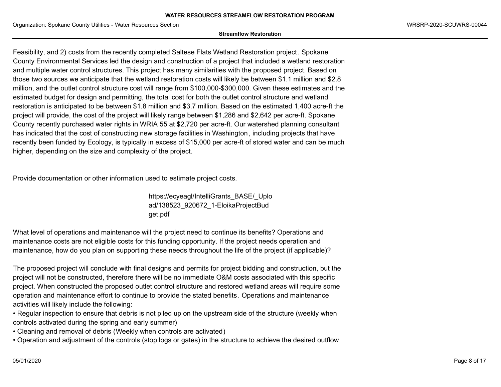#### **Streamflow Restoration**

Feasibility, and 2) costs from the recently completed Saltese Flats Wetland Restoration project. Spokane County Environmental Services led the design and construction of a project that included a wetland restoration and multiple water control structures. This project has many similarities with the proposed project. Based on those two sources we anticipate that the wetland restoration costs will likely be between \$1.1 million and \$2.8 million, and the outlet control structure cost will range from \$100,000-\$300,000. Given these estimates and the estimated budget for design and permitting, the total cost for both the outlet control structure and wetland restoration is anticipated to be between \$1.8 million and \$3.7 million. Based on the estimated 1,400 acre-ft the project will provide, the cost of the project will likely range between \$1,286 and \$2,642 per acre-ft. Spokane County recently purchased water rights in WRIA 55 at \$2,720 per acre-ft. Our watershed planning consultant has indicated that the cost of constructing new storage facilities in Washington, including projects that have recently been funded by Ecology, is typically in excess of \$15,000 per acre-ft of stored water and can be much higher, depending on the size and complexity of the project.

Provide documentation or other information used to estimate project costs.

https://ecyeagl/IntelliGrants\_BASE/\_Uplo ad/138523\_920672\_1-EloikaProjectBud get.pdf

What level of operations and maintenance will the project need to continue its benefits? Operations and maintenance costs are not eligible costs for this funding opportunity. If the project needs operation and maintenance, how do you plan on supporting these needs throughout the life of the project (if applicable)?

The proposed project will conclude with final designs and permits for project bidding and construction, but the project will not be constructed, therefore there will be no immediate O&M costs associated with this specific project. When constructed the proposed outlet control structure and restored wetland areas will require some operation and maintenance effort to continue to provide the stated benefits . Operations and maintenance activities will likely include the following:

• Regular inspection to ensure that debris is not piled up on the upstream side of the structure (weekly when controls activated during the spring and early summer)

- Cleaning and removal of debris (Weekly when controls are activated)
- Operation and adjustment of the controls (stop logs or gates) in the structure to achieve the desired outflow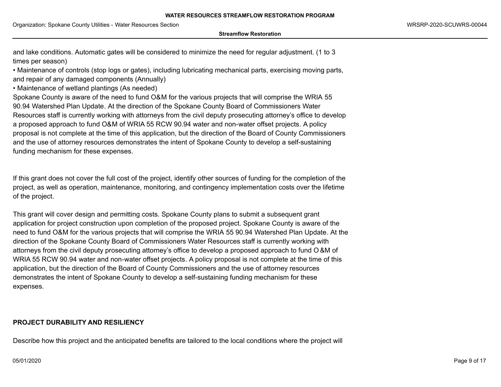#### **Streamflow Restoration**

and lake conditions. Automatic gates will be considered to minimize the need for regular adjustment. (1 to 3 times per season)

• Maintenance of controls (stop logs or gates), including lubricating mechanical parts, exercising moving parts, and repair of any damaged components (Annually)

• Maintenance of wetland plantings (As needed)

Spokane County is aware of the need to fund O&M for the various projects that will comprise the WRIA 55 90.94 Watershed Plan Update. At the direction of the Spokane County Board of Commissioners Water Resources staff is currently working with attorneys from the civil deputy prosecuting attorney's office to develop a proposed approach to fund O&M of WRIA 55 RCW 90.94 water and non-water offset projects. A policy proposal is not complete at the time of this application, but the direction of the Board of County Commissioners and the use of attorney resources demonstrates the intent of Spokane County to develop a self-sustaining funding mechanism for these expenses.

If this grant does not cover the full cost of the project, identify other sources of funding for the completion of the project, as well as operation, maintenance, monitoring, and contingency implementation costs over the lifetime of the project.

This grant will cover design and permitting costs. Spokane County plans to submit a subsequent grant application for project construction upon completion of the proposed project. Spokane County is aware of the need to fund O&M for the various projects that will comprise the WRIA 55 90.94 Watershed Plan Update. At the direction of the Spokane County Board of Commissioners Water Resources staff is currently working with attorneys from the civil deputy prosecuting attorney's office to develop a proposed approach to fund O &M of WRIA 55 RCW 90.94 water and non-water offset projects. A policy proposal is not complete at the time of this application, but the direction of the Board of County Commissioners and the use of attorney resources demonstrates the intent of Spokane County to develop a self-sustaining funding mechanism for these expenses.

## **PROJECT DURABILITY AND RESILIENCY**

Describe how this project and the anticipated benefits are tailored to the local conditions where the project will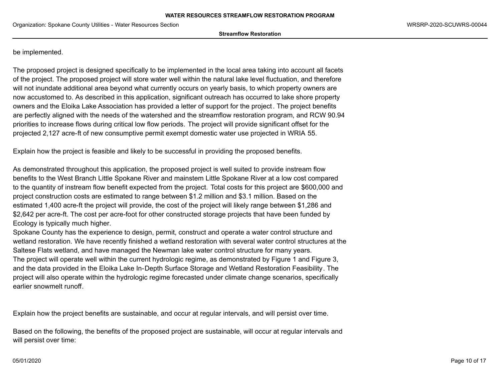**Streamflow Restoration**

be implemented.

The proposed project is designed specifically to be implemented in the local area taking into account all facets of the project. The proposed project will store water well within the natural lake level fluctuation, and therefore will not inundate additional area beyond what currently occurs on yearly basis, to which property owners are now accustomed to. As described in this application, significant outreach has occurred to lake shore property owners and the Eloika Lake Association has provided a letter of support for the project . The project benefits are perfectly aligned with the needs of the watershed and the streamflow restoration program, and RCW 90.94 priorities to increase flows during critical low flow periods. The project will provide significant offset for the projected 2,127 acre-ft of new consumptive permit exempt domestic water use projected in WRIA 55.

Explain how the project is feasible and likely to be successful in providing the proposed benefits.

As demonstrated throughout this application, the proposed project is well suited to provide instream flow benefits to the West Branch Little Spokane River and mainstem Little Spokane River at a low cost compared to the quantity of instream flow benefit expected from the project. Total costs for this project are \$600,000 and project construction costs are estimated to range between \$1.2 million and \$3.1 million. Based on the estimated 1,400 acre-ft the project will provide, the cost of the project will likely range between \$1,286 and \$2,642 per acre-ft. The cost per acre-foot for other constructed storage projects that have been funded by Ecology is typically much higher.

Spokane County has the experience to design, permit, construct and operate a water control structure and wetland restoration. We have recently finished a wetland restoration with several water control structures at the Saltese Flats wetland, and have managed the Newman lake water control structure for many years. The project will operate well within the current hydrologic regime, as demonstrated by Figure 1 and Figure 3, and the data provided in the Eloika Lake In-Depth Surface Storage and Wetland Restoration Feasibility. The project will also operate within the hydrologic regime forecasted under climate change scenarios, specifically earlier snowmelt runoff.

Explain how the project benefits are sustainable, and occur at regular intervals, and will persist over time.

Based on the following, the benefits of the proposed project are sustainable, will occur at regular intervals and will persist over time: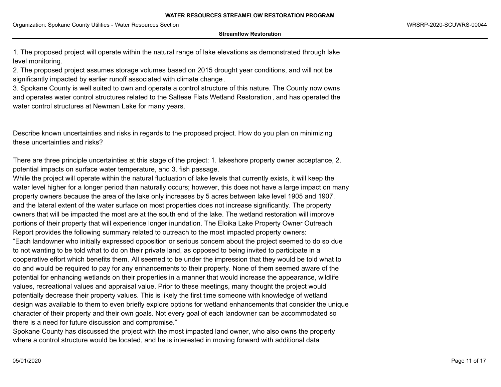**Streamflow Restoration**

1. The proposed project will operate within the natural range of lake elevations as demonstrated through lake level monitoring.

2. The proposed project assumes storage volumes based on 2015 drought year conditions, and will not be significantly impacted by earlier runoff associated with climate change.

3. Spokane County is well suited to own and operate a control structure of this nature. The County now owns and operates water control structures related to the Saltese Flats Wetland Restoration, and has operated the water control structures at Newman Lake for many years.

Describe known uncertainties and risks in regards to the proposed project. How do you plan on minimizing these uncertainties and risks?

There are three principle uncertainties at this stage of the project: 1. lakeshore property owner acceptance, 2. potential impacts on surface water temperature, and 3. fish passage.

While the project will operate within the natural fluctuation of lake levels that currently exists, it will keep the water level higher for a longer period than naturally occurs; however, this does not have a large impact on many property owners because the area of the lake only increases by 5 acres between lake level 1905 and 1907, and the lateral extent of the water surface on most properties does not increase significantly. The property owners that will be impacted the most are at the south end of the lake. The wetland restoration will improve portions of their property that will experience longer inundation. The Eloika Lake Property Owner Outreach Report provides the following summary related to outreach to the most impacted property owners: "Each landowner who initially expressed opposition or serious concern about the project seemed to do so due to not wanting to be told what to do on their private land, as opposed to being invited to participate in a cooperative effort which benefits them. All seemed to be under the impression that they would be told what to do and would be required to pay for any enhancements to their property. None of them seemed aware of the potential for enhancing wetlands on their properties in a manner that would increase the appearance, wildlife values, recreational values and appraisal value. Prior to these meetings, many thought the project would potentially decrease their property values. This is likely the first time someone with knowledge of wetland design was available to them to even briefly explore options for wetland enhancements that consider the unique character of their property and their own goals. Not every goal of each landowner can be accommodated so there is a need for future discussion and compromise."

Spokane County has discussed the project with the most impacted land owner, who also owns the property where a control structure would be located, and he is interested in moving forward with additional data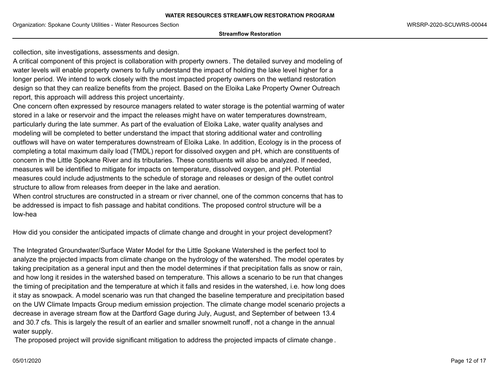**Streamflow Restoration**

collection, site investigations, assessments and design.

A critical component of this project is collaboration with property owners. The detailed survey and modeling of water levels will enable property owners to fully understand the impact of holding the lake level higher for a longer period. We intend to work closely with the most impacted property owners on the wetland restoration design so that they can realize benefits from the project. Based on the Eloika Lake Property Owner Outreach report, this approach will address this project uncertainty.

One concern often expressed by resource managers related to water storage is the potential warming of water stored in a lake or reservoir and the impact the releases might have on water temperatures downstream, particularly during the late summer. As part of the evaluation of Eloika Lake, water quality analyses and modeling will be completed to better understand the impact that storing additional water and controlling outflows will have on water temperatures downstream of Eloika Lake. In addition, Ecology is in the process of completing a total maximum daily load (TMDL) report for dissolved oxygen and pH, which are constituents of concern in the Little Spokane River and its tributaries. These constituents will also be analyzed. If needed, measures will be identified to mitigate for impacts on temperature, dissolved oxygen, and pH. Potential measures could include adjustments to the schedule of storage and releases or design of the outlet control structure to allow from releases from deeper in the lake and aeration.

When control structures are constructed in a stream or river channel, one of the common concerns that has to be addressed is impact to fish passage and habitat conditions. The proposed control structure will be a low-hea

How did you consider the anticipated impacts of climate change and drought in your project development?

The Integrated Groundwater/Surface Water Model for the Little Spokane Watershed is the perfect tool to analyze the projected impacts from climate change on the hydrology of the watershed. The model operates by taking precipitation as a general input and then the model determines if that precipitation falls as snow or rain, and how long it resides in the watershed based on temperature. This allows a scenario to be run that changes the timing of precipitation and the temperature at which it falls and resides in the watershed, i.e. how long does it stay as snowpack. A model scenario was run that changed the baseline temperature and precipitation based on the UW Climate Impacts Group medium emission projection. The climate change model scenario projects a decrease in average stream flow at the Dartford Gage during July, August, and September of between 13.4 and 30.7 cfs. This is largely the result of an earlier and smaller snowmelt runoff, not a change in the annual water supply.

The proposed project will provide significant mitigation to address the projected impacts of climate change .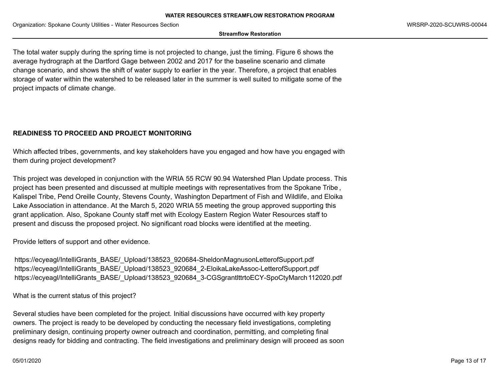#### **Streamflow Restoration**

The total water supply during the spring time is not projected to change, just the timing. Figure 6 shows the average hydrograph at the Dartford Gage between 2002 and 2017 for the baseline scenario and climate change scenario, and shows the shift of water supply to earlier in the year. Therefore, a project that enables storage of water within the watershed to be released later in the summer is well suited to mitigate some of the project impacts of climate change.

# **READINESS TO PROCEED AND PROJECT MONITORING**

Which affected tribes, governments, and key stakeholders have you engaged and how have you engaged with them during project development?

This project was developed in conjunction with the WRIA 55 RCW 90.94 Watershed Plan Update process. This project has been presented and discussed at multiple meetings with representatives from the Spokane Tribe , Kalispel Tribe, Pend Oreille County, Stevens County, Washington Department of Fish and Wildlife, and Eloika Lake Association in attendance. At the March 5, 2020 WRIA 55 meeting the group approved supporting this grant application. Also, Spokane County staff met with Ecology Eastern Region Water Resources staff to present and discuss the proposed project. No significant road blocks were identified at the meeting.

Provide letters of support and other evidence.

https://ecyeagl/IntelliGrants\_BASE/\_Upload/138523\_920684-SheldonMagnusonLetterofSupport.pdf https://ecyeagl/IntelliGrants\_BASE/\_Upload/138523\_920684\_2-EloikaLakeAssoc-LetterofSupport.pdf https://ecyeagl/IntelliGrants\_BASE/\_Upload/138523\_920684\_3-CGSgrantlttrtoECY-SpoCtyMarch112020.pdf

What is the current status of this project?

Several studies have been completed for the project. Initial discussions have occurred with key property owners. The project is ready to be developed by conducting the necessary field investigations, completing preliminary design, continuing property owner outreach and coordination, permitting, and completing final designs ready for bidding and contracting. The field investigations and preliminary design will proceed as soon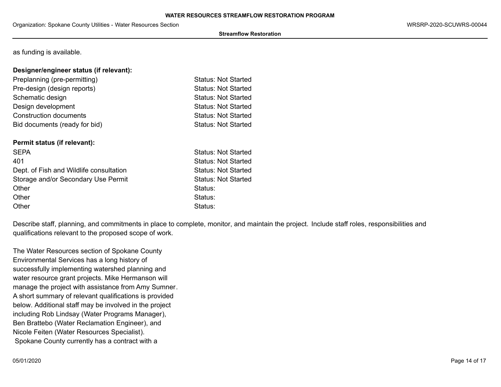### **Streamflow Restoration**

as funding is available.

## **Designer/engineer status (if relevant):**

| Preplanning (pre-permitting)  | <b>Status: Not Started</b> |
|-------------------------------|----------------------------|
| Pre-design (design reports)   | <b>Status: Not Started</b> |
| Schematic design              | <b>Status: Not Started</b> |
| Design development            | <b>Status: Not Started</b> |
| <b>Construction documents</b> | <b>Status: Not Started</b> |
| Bid documents (ready for bid) | <b>Status: Not Started</b> |
|                               |                            |

## **Permit status (if relevant):**

| <b>SEPA</b>                             | <b>Status: Not Started</b> |
|-----------------------------------------|----------------------------|
| 401                                     | <b>Status: Not Started</b> |
| Dept. of Fish and Wildlife consultation | <b>Status: Not Started</b> |
| Storage and/or Secondary Use Permit     | <b>Status: Not Started</b> |
| Other                                   | Status:                    |
| Other                                   | Status:                    |
| Other                                   | Status:                    |

Describe staff, planning, and commitments in place to complete, monitor, and maintain the project. Include staff roles, responsibilities and qualifications relevant to the proposed scope of work.

The Water Resources section of Spokane County Environmental Services has a long history of successfully implementing watershed planning and water resource grant projects. Mike Hermanson will manage the project with assistance from Amy Sumner. A short summary of relevant qualifications is provided below. Additional staff may be involved in the project including Rob Lindsay (Water Programs Manager), Ben Brattebo (Water Reclamation Engineer), and Nicole Feiten (Water Resources Specialist). Spokane County currently has a contract with a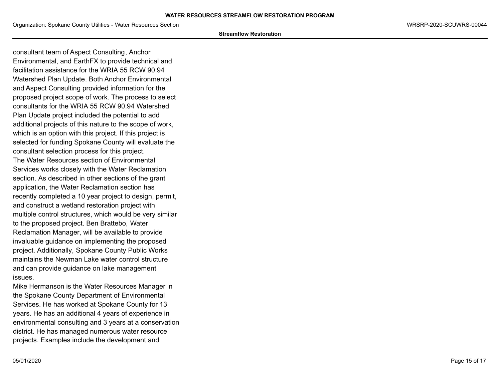Organization: Spokane County Utilities - Water Resources Section WRSRP-2020-SCUWRS-00044

#### **Streamflow Restoration**

consultant team of Aspect Consulting, Anchor Environmental, and EarthFX to provide technical and facilitation assistance for the WRIA 55 RCW 90.94 Watershed Plan Update. Both Anchor Environmental and Aspect Consulting provided information for the proposed project scope of work. The process to select consultants for the WRIA 55 RCW 90.94 Watershed Plan Update project included the potential to add additional projects of this nature to the scope of work, which is an option with this project. If this project is selected for funding Spokane County will evaluate the consultant selection process for this project. The Water Resources section of Environmental Services works closely with the Water Reclamation section. As described in other sections of the grant application, the Water Reclamation section has recently completed a 10 year project to design, permit, and construct a wetland restoration project with multiple control structures, which would be very similar to the proposed project. Ben Brattebo, Water Reclamation Manager, will be available to provide invaluable guidance on implementing the proposed project. Additionally, Spokane County Public Works maintains the Newman Lake water control structure and can provide guidance on lake management issues.

Mike Hermanson is the Water Resources Manager in the Spokane County Department of Environmental Services. He has worked at Spokane County for 13 years. He has an additional 4 years of experience in environmental consulting and 3 years at a conservation district. He has managed numerous water resource projects. Examples include the development and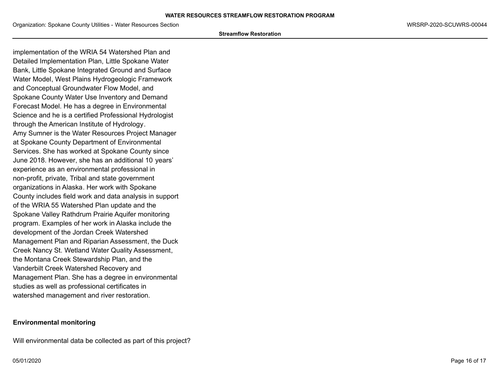#### **Streamflow Restoration**

implementation of the WRIA 54 Watershed Plan and Detailed Implementation Plan, Little Spokane Water Bank, Little Spokane Integrated Ground and Surface Water Model, West Plains Hydrogeologic Framework and Conceptual Groundwater Flow Model, and Spokane County Water Use Inventory and Demand Forecast Model. He has a degree in Environmental Science and he is a certified Professional Hydrologist through the American Institute of Hydrology. Amy Sumner is the Water Resources Project Manager at Spokane County Department of Environmental Services. She has worked at Spokane County since June 2018. However, she has an additional 10 years' experience as an environmental professional in non-profit, private, Tribal and state government organizations in Alaska. Her work with Spokane County includes field work and data analysis in support of the WRIA 55 Watershed Plan update and the Spokane Valley Rathdrum Prairie Aquifer monitoring program. Examples of her work in Alaska include the development of the Jordan Creek Watershed Management Plan and Riparian Assessment, the Duck Creek Nancy St. Wetland Water Quality Assessment, the Montana Creek Stewardship Plan, and the Vanderbilt Creek Watershed Recovery and Management Plan. She has a degree in environmental studies as well as professional certificates in watershed management and river restoration.

## **Environmental monitoring**

Will environmental data be collected as part of this project?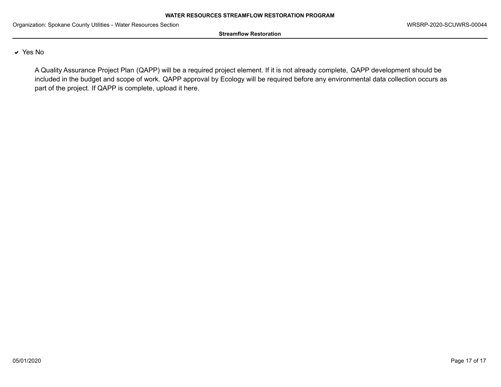**Streamflow Restoration**

## $\vee$  Yes No

A Quality Assurance Project Plan (QAPP) will be a required project element. If it is not already complete, QAPP development should be included in the budget and scope of work. QAPP approval by Ecology will be required before any environmental data collection occurs as part of the project. If QAPP is complete, upload it here.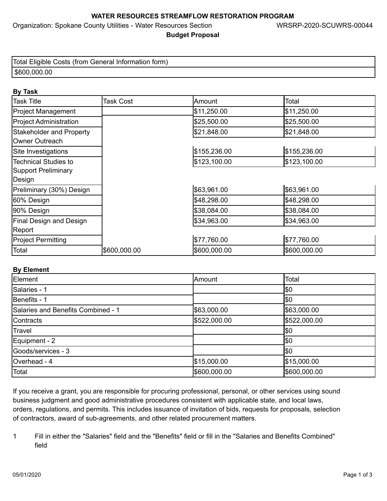Organization: Spokane County Utilities - Water Resources Section WRSRP-2020-SCUWRS-00044

# **Budget Proposal**

| Total Eligible Costs (from General Information form) |
|------------------------------------------------------|
| \$600,000.00                                         |

# **By Task**

| <b>Task Title</b>              | <b>Task Cost</b> | Amount       | Total        |
|--------------------------------|------------------|--------------|--------------|
| <b>Project Management</b>      |                  | \$11,250.00  | \$11,250.00  |
| <b>Project Administration</b>  |                  | \$25,500.00  | \$25,500.00  |
| Stakeholder and Property       |                  | \$21,848.00  | \$21,848.00  |
| Owner Outreach                 |                  |              |              |
| Site Investigations            |                  | \$155,236.00 | \$155,236.00 |
| <b>Technical Studies to</b>    |                  | \$123,100.00 | \$123,100.00 |
| Support Preliminary            |                  |              |              |
| Design                         |                  |              |              |
| Preliminary (30%) Design       |                  | \$63,961.00  | \$63,961.00  |
| 60% Design                     |                  | \$48,298.00  | \$48,298.00  |
| 90% Design                     |                  | \$38,084.00  | \$38,084.00  |
| <b>Final Design and Design</b> |                  | \$34,963.00  | \$34,963.00  |
| Report                         |                  |              |              |
| <b>Project Permitting</b>      |                  | \$77,760.00  | \$77,760.00  |
| Total                          | \$600,000.00     | \$600,000.00 | \$600,000.00 |

# **By Element**

| Element                            | Amount       | Total        |  |  |
|------------------------------------|--------------|--------------|--|--|
| Salaries - 1                       |              | <b>S</b> 0   |  |  |
| Benefits - 1                       |              | I\$0         |  |  |
| Salaries and Benefits Combined - 1 | \$63,000.00  | \$63,000.00  |  |  |
| Contracts                          | \$522,000.00 | \$522,000.00 |  |  |
| Travel                             |              | <b>1</b> \$0 |  |  |
| Equipment - 2                      |              | <b>1</b> \$0 |  |  |
| Goods/services - 3                 |              | <b>1</b> \$0 |  |  |
| Overhead - 4                       | \$15,000.00  | \$15,000.00  |  |  |
| Total                              | \$600,000.00 | \$600,000.00 |  |  |

If you receive a grant, you are responsible for procuring professional, personal, or other services using sound business judgment and good administrative procedures consistent with applicable state, and local laws, orders, regulations, and permits. This includes issuance of invitation of bids, requests for proposals, selection of contractors, award of sub-agreements, and other related procurement matters.

1 Fill in either the "Salaries" field and the "Benefits" field or fill in the "Salaries and Benefits Combined" field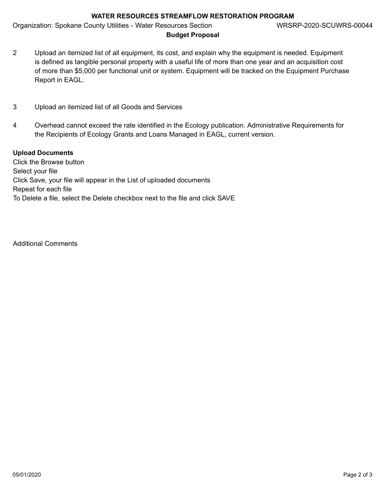Organization: Spokane County Utilities - Water Resources Section WRSRP-2020-SCUWRS-00044

- **Budget Proposal**
- 2 Upload an itemized list of all equipment, its cost, and explain why the equipment is needed. Equipment is defined as tangible personal property with a useful life of more than one year and an acquisition cost of more than \$5,000 per functional unit or system. Equipment will be tracked on the Equipment Purchase Report in EAGL.
- 3 Upload an itemized list of all Goods and Services
- 4 Overhead cannot exceed the rate identified in the Ecology publication. Administrative Requirements for the Recipients of Ecology Grants and Loans Managed in EAGL, current version.

# **Upload Documents**

Click the Browse button Select your file Click Save, your file will appear in the List of uploaded documents Repeat for each file To Delete a file, select the Delete checkbox next to the file and click SAVE

Additional Comments